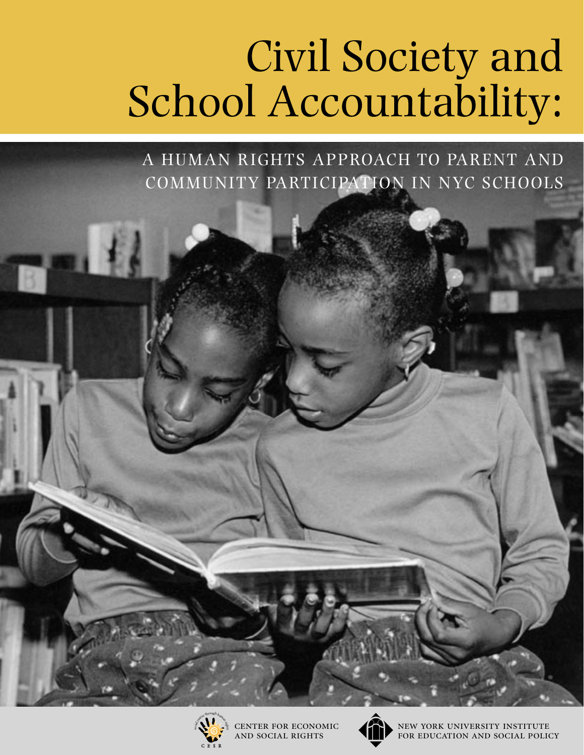# Civil Society and School Accountability:

A HUMAN RIGHTS APPROACH TO PARENT AND COMMUNITY PARTICIPATION IN NYC SCHOOLS



CENTER FOR ECONOMIC AND SOCIAL RIGHTS



NEW YORK UNIVERSITY INSTITUTE FOR EDUCATION AND SOCIAL POLICY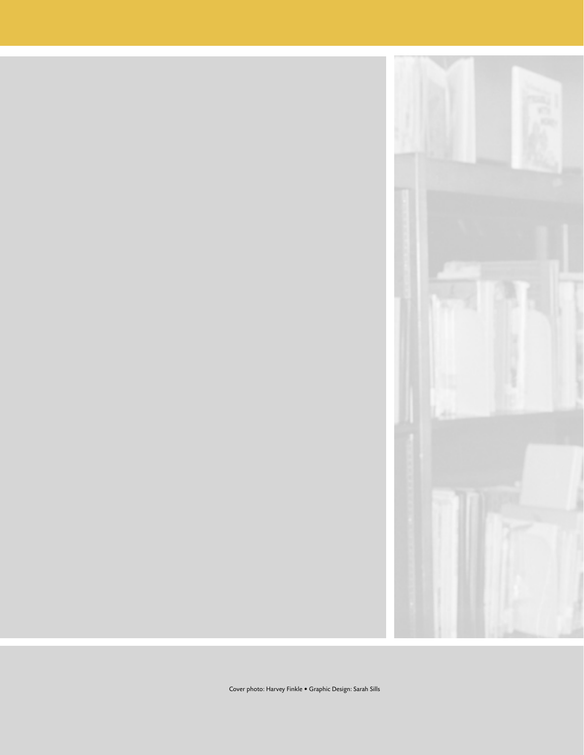

Cover photo: Harvey Finkle • Graphic Design: Sarah Sills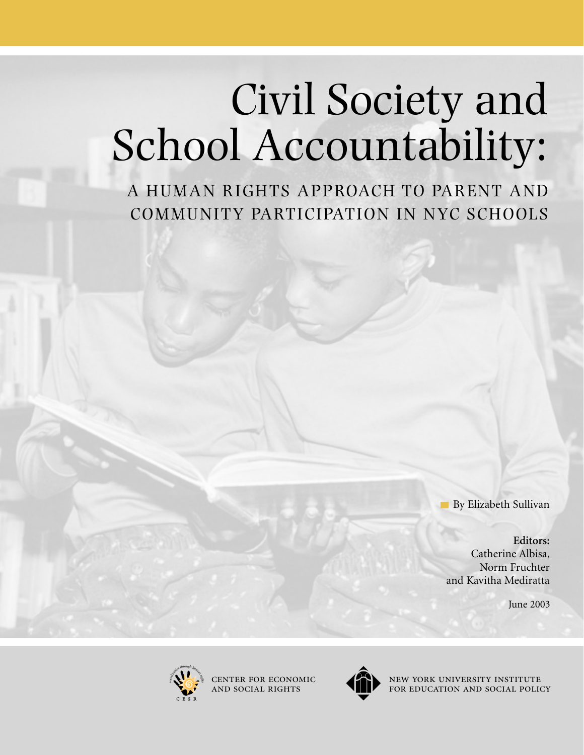## Civil Society and School Accountability:

A HUMAN RIGHTS APPROACH TO PARENT AND COMMUNITY PARTICIPATION IN NYC SCHOOLS

By Elizabeth Sullivan

**Editors:** Catherine Albisa, Norm Fruchter and Kavitha Mediratta

**Iune 2003** 



ENTER FOR ECONOMIC



NEW YORK UNIVERSITY INSTITUTE FOR EDUCATION AND SOCIAL POLICY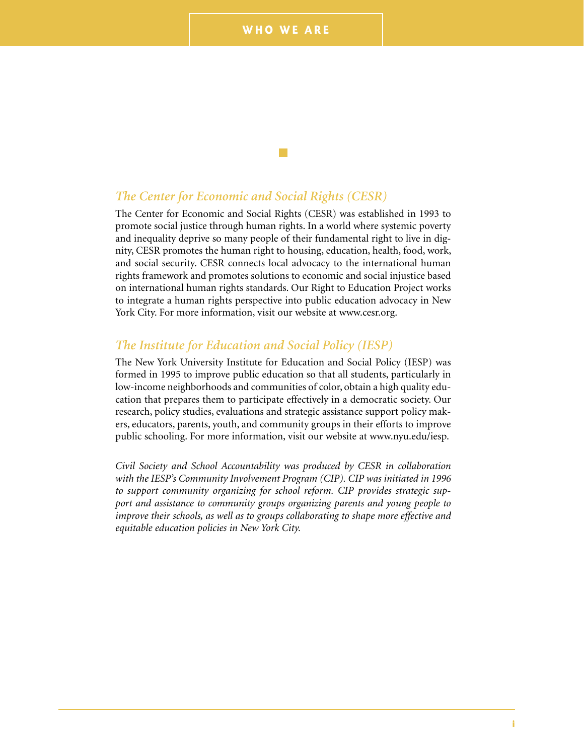#### *The Center for Economic and Social Rights (CESR)*

The Center for Economic and Social Rights (CESR) was established in 1993 to promote social justice through human rights. In a world where systemic poverty and inequality deprive so many people of their fundamental right to live in dignity, CESR promotes the human right to housing, education, health, food, work, and social security. CESR connects local advocacy to the international human rights framework and promotes solutions to economic and social injustice based on international human rights standards. Our Right to Education Project works to integrate a human rights perspective into public education advocacy in New York City. For more information, visit our website at www.cesr.org.

#### *The Institute for Education and Social Policy (IESP)*

The New York University Institute for Education and Social Policy (IESP) was formed in 1995 to improve public education so that all students, particularly in low-income neighborhoods and communities of color, obtain a high quality education that prepares them to participate effectively in a democratic society. Our research, policy studies, evaluations and strategic assistance support policy makers, educators, parents, youth, and community groups in their efforts to improve public schooling. For more information, visit our website at www.nyu.edu/iesp.

*Civil Society and School Accountability was produced by CESR in collaboration*  with the IESP's Community Involvement Program (CIP). CIP was initiated in 1996 *to support community organizing for school reform. CIP provides strategic support and assistance to community groups organizing parents and young people to improve their schools, as well as to groups collaborating to shape more effective and equitable education policies in New York City.*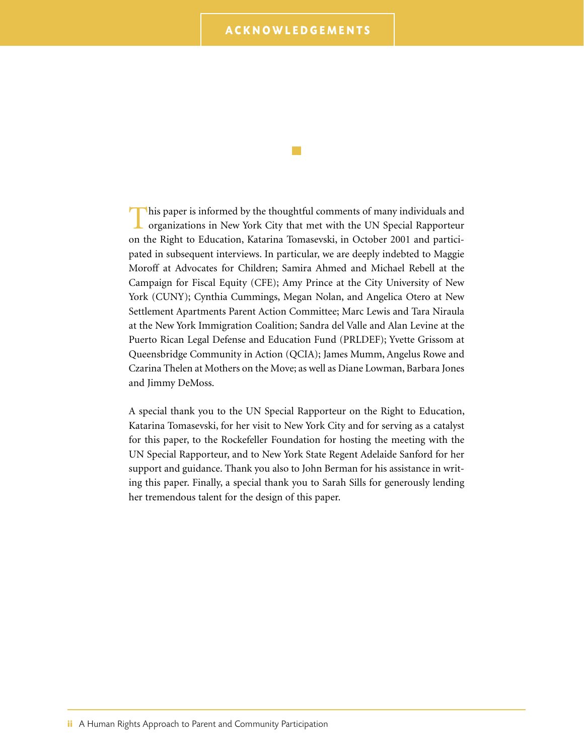$\mathcal{L}_{\mathcal{A}}$ 

This paper is informed by the thoughtful comments of many individuals and organizations in New York City that met with the UN Special Rapporteur on the Right to Education, Katarina Tomasevski, in October 2001 and participated in subsequent interviews. In particular, we are deeply indebted to Maggie Moroff at Advocates for Children; Samira Ahmed and Michael Rebell at the Campaign for Fiscal Equity (CFE); Amy Prince at the City University of New York (CUNY); Cynthia Cummings, Megan Nolan, and Angelica Otero at New Settlement Apartments Parent Action Committee; Marc Lewis and Tara Niraula at the New York Immigration Coalition; Sandra del Valle and Alan Levine at the Puerto Rican Legal Defense and Education Fund (PRLDEF); Yvette Grissom at Queensbridge Community in Action (QCIA); James Mumm, Angelus Rowe and Czarina Thelen at Mothers on the Move; as well as Diane Lowman, Barbara Jones and Jimmy DeMoss.

A special thank you to the UN Special Rapporteur on the Right to Education, Katarina Tomasevski, for her visit to New York City and for serving as a catalyst for this paper, to the Rockefeller Foundation for hosting the meeting with the UN Special Rapporteur, and to New York State Regent Adelaide Sanford for her support and guidance. Thank you also to John Berman for his assistance in writing this paper. Finally, a special thank you to Sarah Sills for generously lending her tremendous talent for the design of this paper.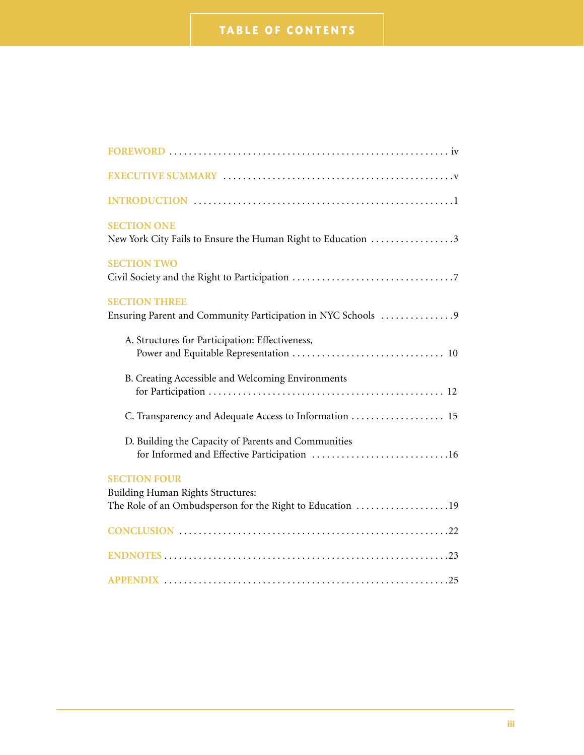| <b>SECTION ONE</b><br>New York City Fails to Ensure the Human Right to Education 3                 |
|----------------------------------------------------------------------------------------------------|
| <b>SECTION TWO</b>                                                                                 |
| <b>SECTION THREE</b><br>Ensuring Parent and Community Participation in NYC Schools 9               |
| A. Structures for Participation: Effectiveness,                                                    |
| B. Creating Accessible and Welcoming Environments                                                  |
| C. Transparency and Adequate Access to Information 15                                              |
| D. Building the Capacity of Parents and Communities<br>for Informed and Effective Participation 16 |
| <b>SECTION FOUR</b>                                                                                |
| Building Human Rights Structures:                                                                  |
| The Role of an Ombudsperson for the Right to Education 19                                          |
|                                                                                                    |
|                                                                                                    |
|                                                                                                    |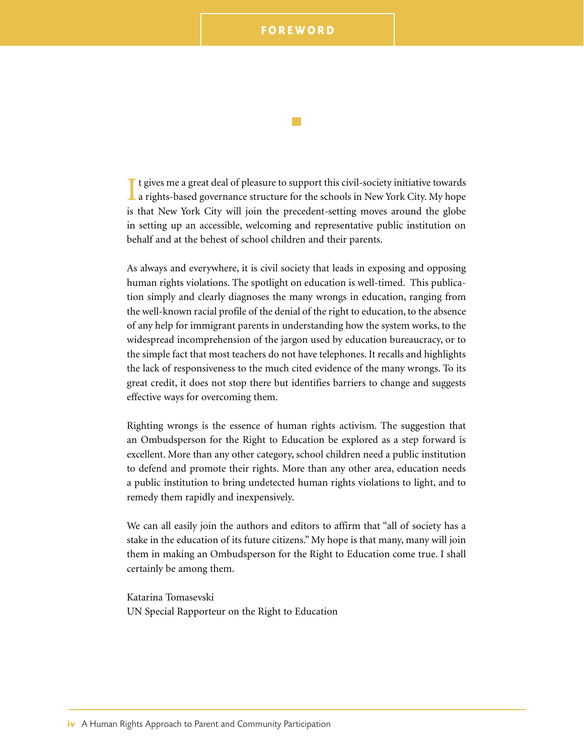It gives me a great deal of pleasure to support this civil-society initiative towards a rights-based governance structure for the schools in New York City. My hope  $\blacksquare$  t gives me a great deal of pleasure to support this civil-society initiative towards is that New York City will join the precedent-setting moves around the globe in setting up an accessible, welcoming and representative public institution on behalf and at the behest of school children and their parents.

As always and everywhere, it is civil society that leads in exposing and opposing human rights violations. The spotlight on education is well-timed. This publication simply and clearly diagnoses the many wrongs in education, ranging from the well-known racial profile of the denial of the right to education, to the absence of any help for immigrant parents in understanding how the system works, to the widespread incomprehension of the jargon used by education bureaucracy, or to the simple fact that most teachers do not have telephones. It recalls and highlights the lack of responsiveness to the much cited evidence of the many wrongs. To its great credit, it does not stop there but identifies barriers to change and suggests effective ways for overcoming them.

Righting wrongs is the essence of human rights activism. The suggestion that an Ombudsperson for the Right to Education be explored as a step forward is excellent. More than any other category, school children need a public institution to defend and promote their rights. More than any other area, education needs a public institution to bring undetected human rights violations to light, and to remedy them rapidly and inexpensively.

We can all easily join the authors and editors to affirm that "all of society has a stake in the education of its future citizens." My hope is that many, many will join them in making an Ombudsperson for the Right to Education come true. I shall certainly be among them.

Katarina Tomasevski UN Special Rapporteur on the Right to Education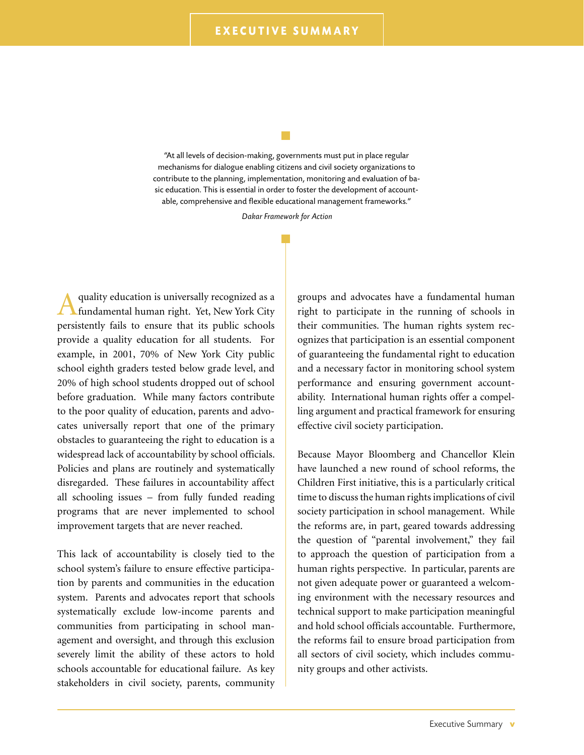"At all levels of decision-making, governments must put in place regular mechanisms for dialogue enabling citizens and civil society organizations to contribute to the planning, implementation, monitoring and evaluation of basic education. This is essential in order to foster the development of accountable, comprehensive and flexible educational management frameworks."

 *Dakar Framework for Action*

Aquality education is universally recognized as a fundamental human right. Yet, New York City persistently fails to ensure that its public schools provide a quality education for all students. For example, in 2001, 70% of New York City public school eighth graders tested below grade level, and 20% of high school students dropped out of school before graduation. While many factors contribute to the poor quality of education, parents and advocates universally report that one of the primary obstacles to guaranteeing the right to education is a widespread lack of accountability by school officials. Policies and plans are routinely and systematically disregarded. These failures in accountability affect all schooling issues – from fully funded reading programs that are never implemented to school improvement targets that are never reached.

This lack of accountability is closely tied to the school system's failure to ensure effective participation by parents and communities in the education system. Parents and advocates report that schools systematically exclude low-income parents and communities from participating in school management and oversight, and through this exclusion severely limit the ability of these actors to hold schools accountable for educational failure. As key stakeholders in civil society, parents, community groups and advocates have a fundamental human right to participate in the running of schools in their communities. The human rights system recognizes that participation is an essential component of guaranteeing the fundamental right to education and a necessary factor in monitoring school system performance and ensuring government accountability. International human rights offer a compelling argument and practical framework for ensuring effective civil society participation.

Because Mayor Bloomberg and Chancellor Klein have launched a new round of school reforms, the Children First initiative, this is a particularly critical time to discuss the human rights implications of civil society participation in school management. While the reforms are, in part, geared towards addressing the question of "parental involvement," they fail to approach the question of participation from a human rights perspective. In particular, parents are not given adequate power or guaranteed a welcoming environment with the necessary resources and technical support to make participation meaningful and hold school officials accountable. Furthermore, the reforms fail to ensure broad participation from all sectors of civil society, which includes community groups and other activists.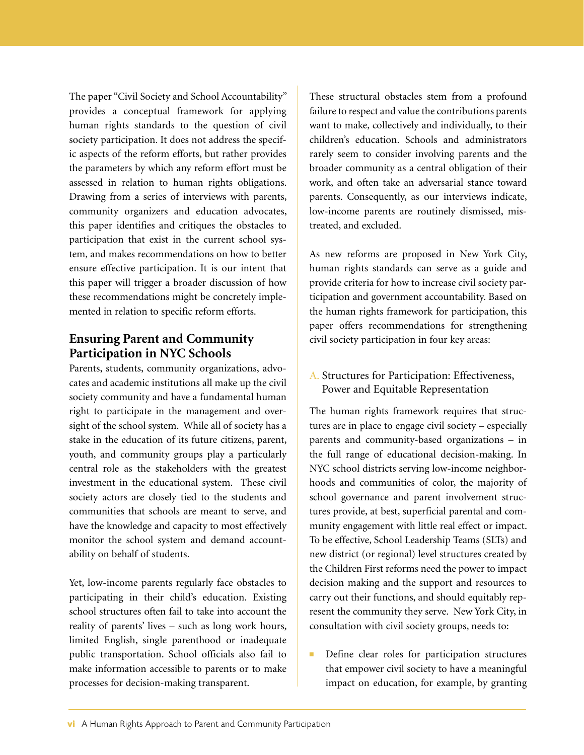The paper "Civil Society and School Accountability" provides a conceptual framework for applying human rights standards to the question of civil society participation. It does not address the specific aspects of the reform efforts, but rather provides the parameters by which any reform effort must be assessed in relation to human rights obligations. Drawing from a series of interviews with parents, community organizers and education advocates, this paper identifies and critiques the obstacles to participation that exist in the current school system, and makes recommendations on how to better ensure effective participation. It is our intent that this paper will trigger a broader discussion of how these recommendations might be concretely implemented in relation to specific reform efforts.

#### **Ensuring Parent and Community Participation in NYC Schools**

Parents, students, community organizations, advocates and academic institutions all make up the civil society community and have a fundamental human right to participate in the management and oversight of the school system. While all of society has a stake in the education of its future citizens, parent, youth, and community groups play a particularly central role as the stakeholders with the greatest investment in the educational system. These civil society actors are closely tied to the students and communities that schools are meant to serve, and have the knowledge and capacity to most effectively monitor the school system and demand accountability on behalf of students.

Yet, low-income parents regularly face obstacles to participating in their child's education. Existing school structures often fail to take into account the reality of parents' lives – such as long work hours, limited English, single parenthood or inadequate public transportation. School officials also fail to make information accessible to parents or to make processes for decision-making transparent.

These structural obstacles stem from a profound failure to respect and value the contributions parents want to make, collectively and individually, to their children's education. Schools and administrators rarely seem to consider involving parents and the broader community as a central obligation of their work, and often take an adversarial stance toward parents. Consequently, as our interviews indicate, low-income parents are routinely dismissed, mistreated, and excluded.

As new reforms are proposed in New York City, human rights standards can serve as a guide and provide criteria for how to increase civil society participation and government accountability. Based on the human rights framework for participation, this paper offers recommendations for strengthening civil society participation in four key areas:

#### A. Structures for Participation: Effectiveness, Power and Equitable Representation

The human rights framework requires that structures are in place to engage civil society – especially parents and community-based organizations – in the full range of educational decision-making. In NYC school districts serving low-income neighborhoods and communities of color, the majority of school governance and parent involvement structures provide, at best, superficial parental and community engagement with little real effect or impact. To be effective, School Leadership Teams (SLTs) and new district (or regional) level structures created by the Children First reforms need the power to impact decision making and the support and resources to carry out their functions, and should equitably represent the community they serve. New York City, in consultation with civil society groups, needs to:

Define clear roles for participation structures that empower civil society to have a meaningful impact on education, for example, by granting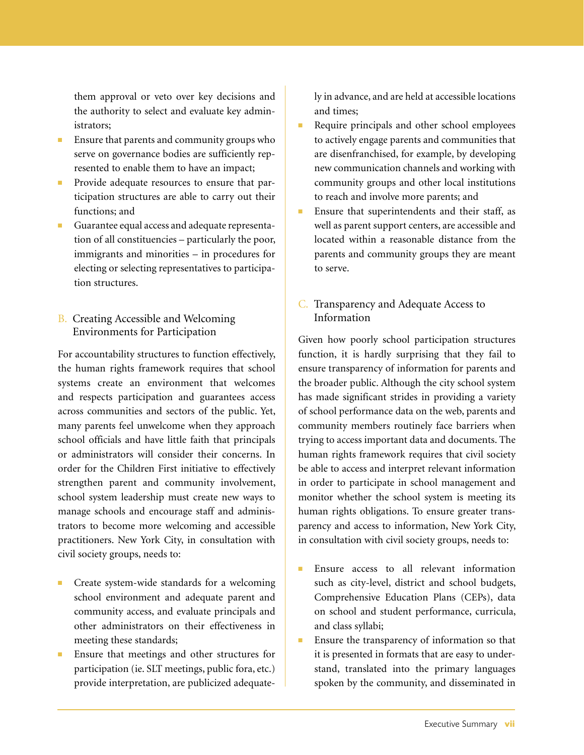them approval or veto over key decisions and the authority to select and evaluate key administrators;

- Ensure that parents and community groups who serve on governance bodies are sufficiently represented to enable them to have an impact;
- Provide adequate resources to ensure that participation structures are able to carry out their functions; and
- Guarantee equal access and adequate representation of all constituencies – particularly the poor, immigrants and minorities – in procedures for electing or selecting representatives to participation structures.

#### B. Creating Accessible and Welcoming Environments for Participation

For accountability structures to function effectively, the human rights framework requires that school systems create an environment that welcomes and respects participation and guarantees access across communities and sectors of the public. Yet, many parents feel unwelcome when they approach school officials and have little faith that principals or administrators will consider their concerns. In order for the Children First initiative to effectively strengthen parent and community involvement, school system leadership must create new ways to manage schools and encourage staff and administrators to become more welcoming and accessible practitioners. New York City, in consultation with civil society groups, needs to:

- Create system-wide standards for a welcoming school environment and adequate parent and community access, and evaluate principals and other administrators on their effectiveness in meeting these standards;
- Ensure that meetings and other structures for participation (ie. SLT meetings, public fora, etc.) provide interpretation, are publicized adequate-

ly in advance, and are held at accessible locations and times;

- Require principals and other school employees to actively engage parents and communities that are disenfranchised, for example, by developing new communication channels and working with community groups and other local institutions to reach and involve more parents; and
- Ensure that superintendents and their staff, as well as parent support centers, are accessible and located within a reasonable distance from the parents and community groups they are meant to serve.

#### C. Transparency and Adequate Access to Information

Given how poorly school participation structures function, it is hardly surprising that they fail to ensure transparency of information for parents and the broader public. Although the city school system has made significant strides in providing a variety of school performance data on the web, parents and community members routinely face barriers when trying to access important data and documents. The human rights framework requires that civil society be able to access and interpret relevant information in order to participate in school management and monitor whether the school system is meeting its human rights obligations. To ensure greater transparency and access to information, New York City, in consultation with civil society groups, needs to:

- Ensure access to all relevant information such as city-level, district and school budgets, Comprehensive Education Plans (CEPs), data on school and student performance, curricula, and class syllabi;
- Ensure the transparency of information so that it is presented in formats that are easy to understand, translated into the primary languages spoken by the community, and disseminated in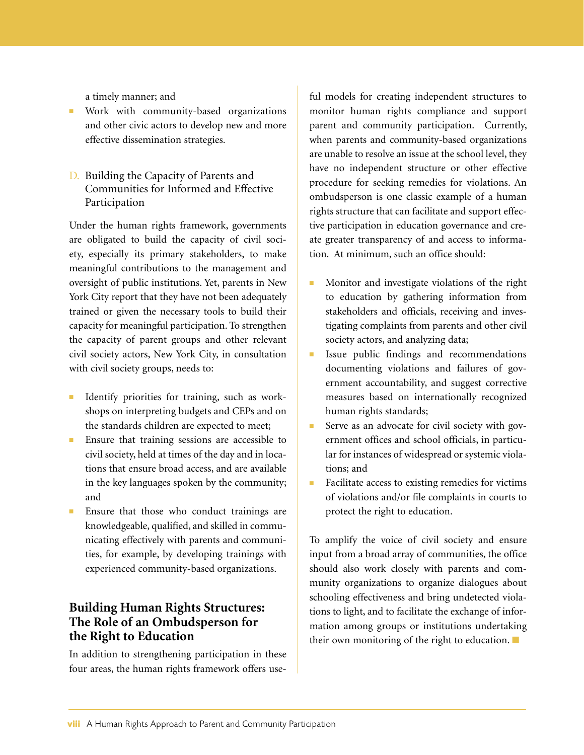a timely manner; and

- Work with community-based organizations and other civic actors to develop new and more effective dissemination strategies.
- D. Building the Capacity of Parents and Communities for Informed and Effective Participation

Under the human rights framework, governments are obligated to build the capacity of civil society, especially its primary stakeholders, to make meaningful contributions to the management and oversight of public institutions. Yet, parents in New York City report that they have not been adequately trained or given the necessary tools to build their capacity for meaningful participation. To strengthen the capacity of parent groups and other relevant civil society actors, New York City, in consultation with civil society groups, needs to:

- Identify priorities for training, such as workshops on interpreting budgets and CEPs and on the standards children are expected to meet;
- Ensure that training sessions are accessible to civil society, held at times of the day and in locations that ensure broad access, and are available in the key languages spoken by the community; and
- Ensure that those who conduct trainings are knowledgeable, qualified, and skilled in communicating effectively with parents and communities, for example, by developing trainings with experienced community-based organizations.

#### **Building Human Rights Structures: The Role of an Ombudsperson for the Right to Education**

In addition to strengthening participation in these four areas, the human rights framework offers useful models for creating independent structures to monitor human rights compliance and support parent and community participation. Currently, when parents and community-based organizations are unable to resolve an issue at the school level, they have no independent structure or other effective procedure for seeking remedies for violations. An ombudsperson is one classic example of a human rights structure that can facilitate and support effective participation in education governance and create greater transparency of and access to information. At minimum, such an office should:

- Monitor and investigate violations of the right to education by gathering information from stakeholders and officials, receiving and investigating complaints from parents and other civil society actors, and analyzing data;
- Issue public findings and recommendations documenting violations and failures of government accountability, and suggest corrective measures based on internationally recognized human rights standards;
- Serve as an advocate for civil society with government offices and school officials, in particular for instances of widespread or systemic violations; and
- Facilitate access to existing remedies for victims of violations and/or file complaints in courts to protect the right to education.

To amplify the voice of civil society and ensure input from a broad array of communities, the office should also work closely with parents and community organizations to organize dialogues about schooling effectiveness and bring undetected violations to light, and to facilitate the exchange of information among groups or institutions undertaking their own monitoring of the right to education. ■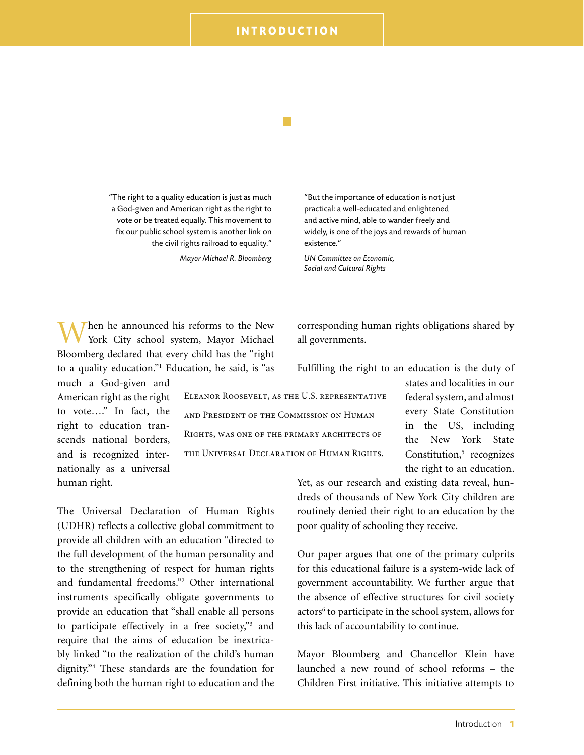#### **I N T R O D U C T I O N**

"The right to a quality education is just as much a God-given and American right as the right to vote or be treated equally. This movement to fix our public school system is another link on the civil rights railroad to equality."

*Mayor Michael R. Bloomberg*

"But the importance of education is not just practical: a well-educated and enlightened and active mind, able to wander freely and widely, is one of the joys and rewards of human existence."

*UN Committee on Economic, Social and Cultural Rights*

hen he announced his reforms to the New York City school system, Mayor Michael Bloomberg declared that every child has the "right to a quality education."1 Education, he said, is "as

much a God-given and American right as the right to vote…." In fact, the right to education transcends national borders, and is recognized internationally as a universal human right.

The Universal Declaration of Human Rights (UDHR) reflects a collective global commitment to provide all children with an education "directed to the full development of the human personality and to the strengthening of respect for human rights and fundamental freedoms."2 Other international instruments specifically obligate governments to provide an education that "shall enable all persons to participate effectively in a free society,"3 and require that the aims of education be inextricably linked "to the realization of the child's human dignity."4 These standards are the foundation for defining both the human right to education and the

corresponding human rights obligations shared by all governments.

Fulfilling the right to an education is the duty of

Eleanor Roosevelt, as the U.S. representative and President of the Commission on Human Rights, was one of the primary architects of the Universal Declaration of Human Rights.

states and localities in our federal system, and almost every State Constitution in the US, including the New York State Constitution,<sup>5</sup> recognizes the right to an education.

Yet, as our research and existing data reveal, hundreds of thousands of New York City children are routinely denied their right to an education by the poor quality of schooling they receive.

Our paper argues that one of the primary culprits for this educational failure is a system-wide lack of government accountability. We further argue that the absence of effective structures for civil society actors<sup>6</sup> to participate in the school system, allows for this lack of accountability to continue.

Mayor Bloomberg and Chancellor Klein have launched a new round of school reforms – the Children First initiative. This initiative attempts to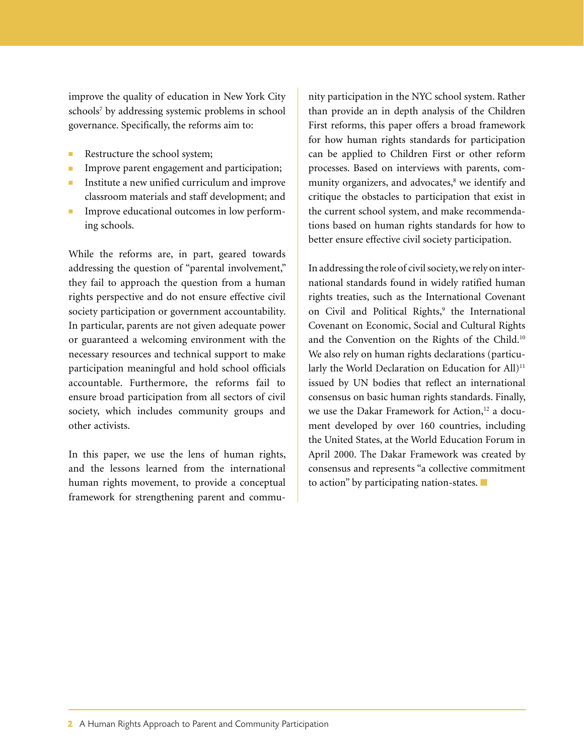improve the quality of education in New York City schools<sup>7</sup> by addressing systemic problems in school governance. Specifically, the reforms aim to:

- Restructure the school system;
- Improve parent engagement and participation;
- Institute a new unified curriculum and improve classroom materials and staff development; and
- Improve educational outcomes in low performing schools.

While the reforms are, in part, geared towards addressing the question of "parental involvement," they fail to approach the question from a human rights perspective and do not ensure effective civil society participation or government accountability. In particular, parents are not given adequate power or guaranteed a welcoming environment with the necessary resources and technical support to make participation meaningful and hold school officials accountable. Furthermore, the reforms fail to ensure broad participation from all sectors of civil society, which includes community groups and other activists.

In this paper, we use the lens of human rights, and the lessons learned from the international human rights movement, to provide a conceptual framework for strengthening parent and commu-

nity participation in the NYC school system. Rather than provide an in depth analysis of the Children First reforms, this paper offers a broad framework for how human rights standards for participation can be applied to Children First or other reform processes. Based on interviews with parents, community organizers, and advocates,<sup>8</sup> we identify and critique the obstacles to participation that exist in the current school system, and make recommendations based on human rights standards for how to better ensure effective civil society participation.

In addressing the role of civil society, we rely on international standards found in widely ratified human rights treaties, such as the International Covenant on Civil and Political Rights,<sup>9</sup> the International Covenant on Economic, Social and Cultural Rights and the Convention on the Rights of the Child.10 We also rely on human rights declarations (particularly the World Declaration on Education for All)<sup>11</sup> issued by UN bodies that reflect an international consensus on basic human rights standards. Finally, we use the Dakar Framework for Action,<sup>12</sup> a document developed by over 160 countries, including the United States, at the World Education Forum in April 2000. The Dakar Framework was created by consensus and represents "a collective commitment to action" by participating nation-states. ■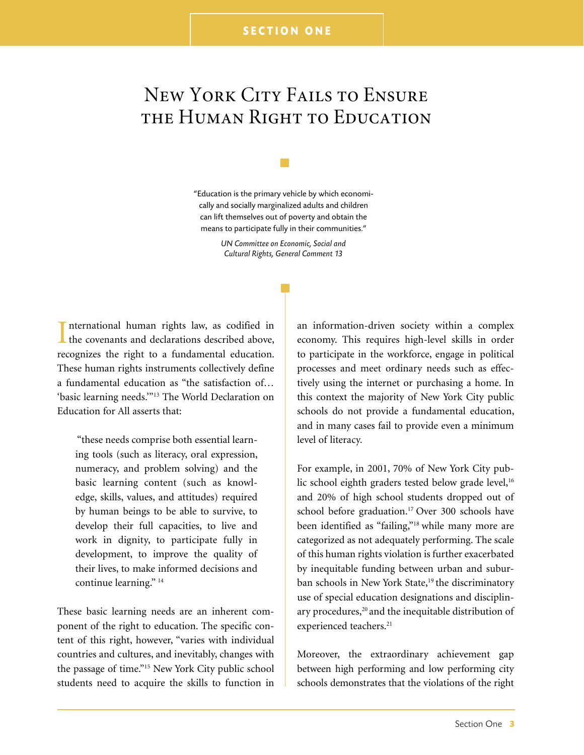## New YORK CITY FAILS TO ENSURE the Human Right to Education

"Education is the primary vehicle by which economically and socially marginalized adults and children can lift themselves out of poverty and obtain the means to participate fully in their communities."

> *UN Committee on Economic, Social and Cultural Rights, General Comment 13*

International human rights law, as codified in the covenants and declarations described above, the covenants and declarations described above, recognizes the right to a fundamental education. These human rights instruments collectively define a fundamental education as "the satisfaction of… 'basic learning needs.'"13 The World Declaration on Education for All asserts that:

 "these needs comprise both essential learning tools (such as literacy, oral expression, numeracy, and problem solving) and the basic learning content (such as knowledge, skills, values, and attitudes) required by human beings to be able to survive, to develop their full capacities, to live and work in dignity, to participate fully in development, to improve the quality of their lives, to make informed decisions and continue learning." 14

These basic learning needs are an inherent component of the right to education. The specific content of this right, however, "varies with individual countries and cultures, and inevitably, changes with the passage of time."15 New York City public school students need to acquire the skills to function in

an information-driven society within a complex economy. This requires high-level skills in order to participate in the workforce, engage in political processes and meet ordinary needs such as effectively using the internet or purchasing a home. In this context the majority of New York City public schools do not provide a fundamental education, and in many cases fail to provide even a minimum level of literacy.

For example, in 2001, 70% of New York City public school eighth graders tested below grade level,<sup>16</sup> and 20% of high school students dropped out of school before graduation.<sup>17</sup> Over 300 schools have been identified as "failing,"<sup>18</sup> while many more are categorized as not adequately performing. The scale of this human rights violation is further exacerbated by inequitable funding between urban and suburban schools in New York State,<sup>19</sup> the discriminatory use of special education designations and disciplinary procedures,<sup>20</sup> and the inequitable distribution of experienced teachers.<sup>21</sup>

Moreover, the extraordinary achievement gap between high performing and low performing city schools demonstrates that the violations of the right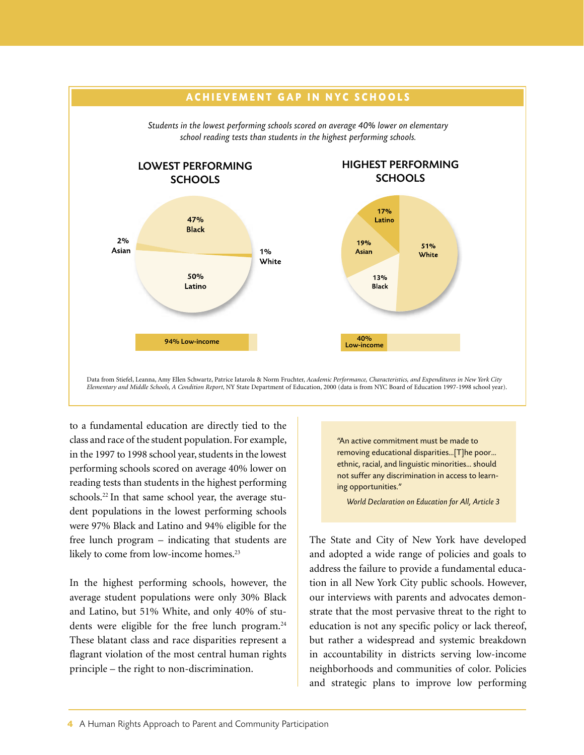

*Elementary and Middle Schools, A Condition Report*, NY State Department of Education, 2000 (data is from NYC Board of Education 1997-1998 school year).

to a fundamental education are directly tied to the class and race of the student population. For example, in the 1997 to 1998 school year, students in the lowest performing schools scored on average 40% lower on reading tests than students in the highest performing schools.<sup>22</sup> In that same school year, the average student populations in the lowest performing schools were 97% Black and Latino and 94% eligible for the free lunch program – indicating that students are likely to come from low-income homes.<sup>23</sup>

In the highest performing schools, however, the average student populations were only 30% Black and Latino, but 51% White, and only 40% of students were eligible for the free lunch program.<sup>24</sup> These blatant class and race disparities represent a flagrant violation of the most central human rights principle – the right to non-discrimination.

"An active commitment must be made to removing educational disparities…[T]he poor… ethnic, racial, and linguistic minorities… should not suffer any discrimination in access to learning opportunities."

*World Declaration on Education for All, Article 3*

The State and City of New York have developed and adopted a wide range of policies and goals to address the failure to provide a fundamental education in all New York City public schools. However, our interviews with parents and advocates demonstrate that the most pervasive threat to the right to education is not any specific policy or lack thereof, but rather a widespread and systemic breakdown in accountability in districts serving low-income neighborhoods and communities of color. Policies and strategic plans to improve low performing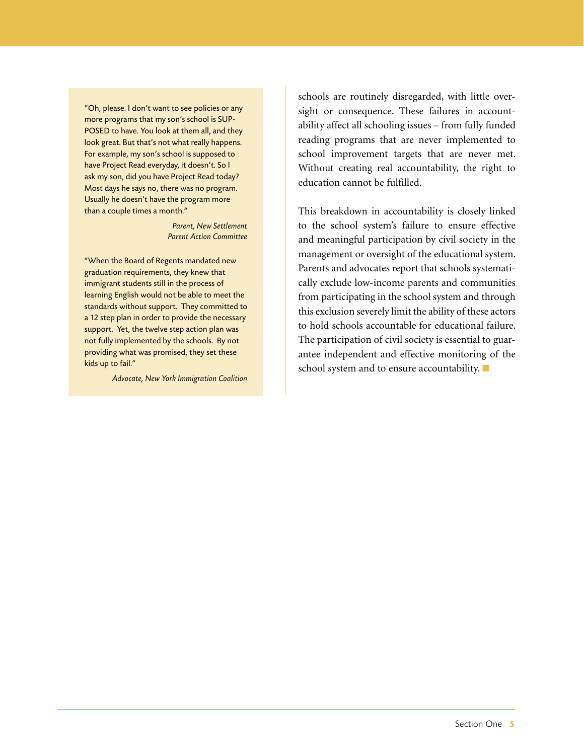"Oh, please. I don't want to see policies or any more programs that my son's school is SUP-POSED to have. You look at them all, and they look great. But that's not what really happens. For example, my son's school is supposed to have Project Read everyday, it doesn't. So I ask my son, did you have Project Read today? Most days he says no, there was no program. Usually he doesn't have the program more than a couple times a month."

> *Parent, New Settlement Parent Action Committee*

"When the Board of Regents mandated new graduation requirements, they knew that immigrant students still in the process of learning English would not be able to meet the standards without support. They committed to a 12 step plan in order to provide the necessary support. Yet, the twelve step action plan was not fully implemented by the schools. By not providing what was promised, they set these kids up to fail."

*Advocate, New York Immigration Coalition*

schools are routinely disregarded, with little oversight or consequence. These failures in accountability affect all schooling issues – from fully funded reading programs that are never implemented to school improvement targets that are never met. Without creating real accountability, the right to education cannot be fulfilled.

This breakdown in accountability is closely linked to the school system's failure to ensure effective and meaningful participation by civil society in the management or oversight of the educational system. Parents and advocates report that schools systematically exclude low-income parents and communities from participating in the school system and through this exclusion severely limit the ability of these actors to hold schools accountable for educational failure. The participation of civil society is essential to guarantee independent and effective monitoring of the school system and to ensure accountability. ■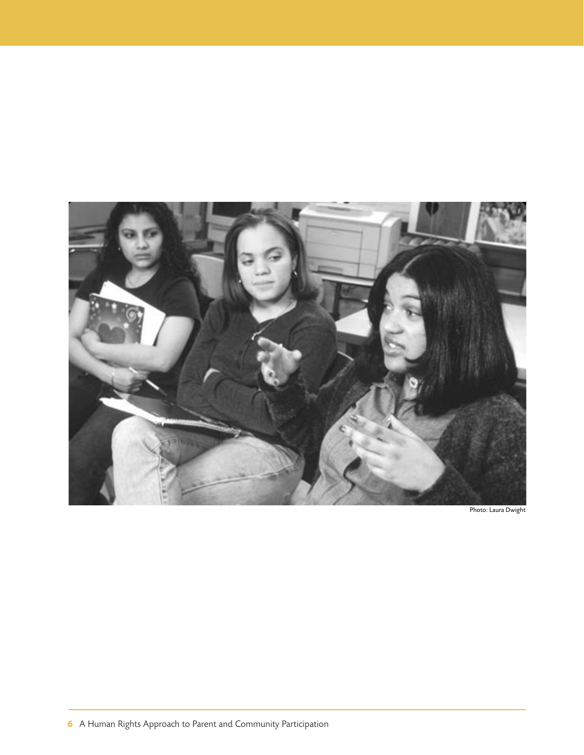

Photo: Laura Dwight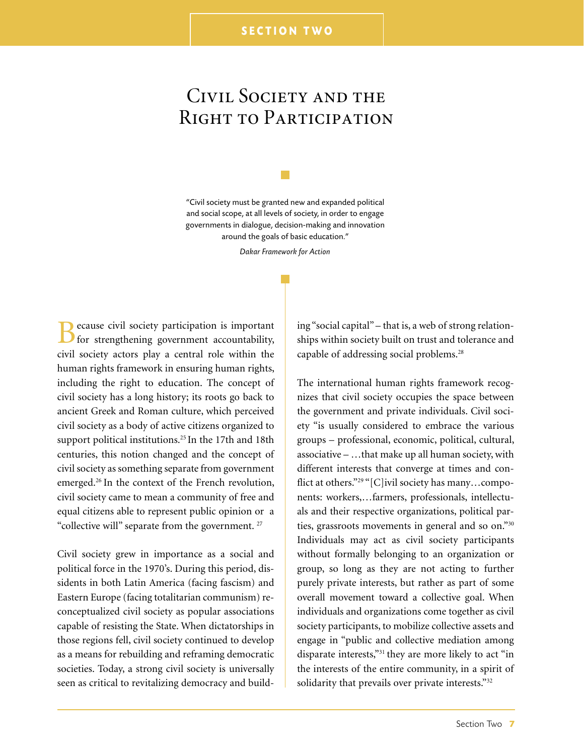## Civil Society and the Right to Participation

"Civil society must be granted new and expanded political and social scope, at all levels of society, in order to engage governments in dialogue, decision-making and innovation around the goals of basic education."

*Dakar Framework for Action*

ecause civil society participation is important for strengthening government accountability, civil society actors play a central role within the human rights framework in ensuring human rights, including the right to education. The concept of civil society has a long history; its roots go back to ancient Greek and Roman culture, which perceived civil society as a body of active citizens organized to support political institutions.<sup>25</sup> In the 17th and 18th centuries, this notion changed and the concept of civil society as something separate from government emerged.26 In the context of the French revolution, civil society came to mean a community of free and equal citizens able to represent public opinion or a "collective will" separate from the government. 27

Civil society grew in importance as a social and political force in the 1970's. During this period, dissidents in both Latin America (facing fascism) and Eastern Europe (facing totalitarian communism) reconceptualized civil society as popular associations capable of resisting the State. When dictatorships in those regions fell, civil society continued to develop as a means for rebuilding and reframing democratic societies. Today, a strong civil society is universally seen as critical to revitalizing democracy and building "social capital" – that is, a web of strong relationships within society built on trust and tolerance and capable of addressing social problems.28

The international human rights framework recognizes that civil society occupies the space between the government and private individuals. Civil society "is usually considered to embrace the various groups – professional, economic, political, cultural, associative – …that make up all human society, with different interests that converge at times and conflict at others."29 "[C]ivil society has many…components: workers,…farmers, professionals, intellectuals and their respective organizations, political parties, grassroots movements in general and so on."30 Individuals may act as civil society participants without formally belonging to an organization or group, so long as they are not acting to further purely private interests, but rather as part of some overall movement toward a collective goal. When individuals and organizations come together as civil society participants, to mobilize collective assets and engage in "public and collective mediation among disparate interests,"<sup>31</sup> they are more likely to act "in the interests of the entire community, in a spirit of solidarity that prevails over private interests."32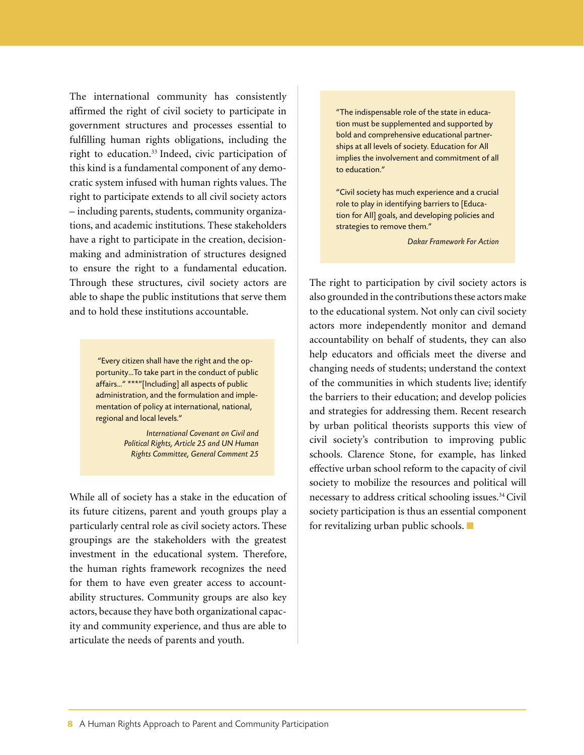The international community has consistently affirmed the right of civil society to participate in government structures and processes essential to fulfilling human rights obligations, including the right to education.33 Indeed, civic participation of this kind is a fundamental component of any democratic system infused with human rights values. The right to participate extends to all civil society actors – including parents, students, community organizations, and academic institutions. These stakeholders have a right to participate in the creation, decisionmaking and administration of structures designed to ensure the right to a fundamental education. Through these structures, civil society actors are able to shape the public institutions that serve them and to hold these institutions accountable.

> "Every citizen shall have the right and the opportunity…To take part in the conduct of public affairs..." \*\*\*"[Including] all aspects of public administration, and the formulation and implementation of policy at international, national, regional and local levels."

> > *International Covenant on Civil and Political Rights, Article 25 and UN Human Rights Committee, General Comment 25*

While all of society has a stake in the education of its future citizens, parent and youth groups play a particularly central role as civil society actors. These groupings are the stakeholders with the greatest investment in the educational system. Therefore, the human rights framework recognizes the need for them to have even greater access to accountability structures. Community groups are also key actors, because they have both organizational capacity and community experience, and thus are able to articulate the needs of parents and youth.

"The indispensable role of the state in education must be supplemented and supported by bold and comprehensive educational partnerships at all levels of society. Education for All implies the involvement and commitment of all to education."

"Civil society has much experience and a crucial role to play in identifying barriers to [Education for All] goals, and developing policies and strategies to remove them."

*Dakar Framework For Action* 

The right to participation by civil society actors is also grounded in the contributions these actors make to the educational system. Not only can civil society actors more independently monitor and demand accountability on behalf of students, they can also help educators and officials meet the diverse and changing needs of students; understand the context of the communities in which students live; identify the barriers to their education; and develop policies and strategies for addressing them. Recent research by urban political theorists supports this view of civil society's contribution to improving public schools. Clarence Stone, for example, has linked effective urban school reform to the capacity of civil society to mobilize the resources and political will necessary to address critical schooling issues.<sup>34</sup> Civil society participation is thus an essential component for revitalizing urban public schools. ■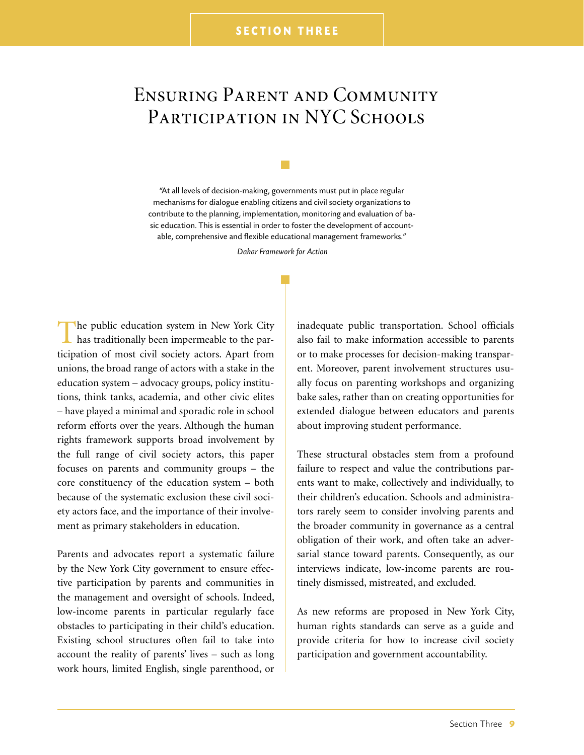## Ensuring Parent and Community PARTICIPATION IN NYC SCHOOLS

"At all levels of decision-making, governments must put in place regular mechanisms for dialogue enabling citizens and civil society organizations to contribute to the planning, implementation, monitoring and evaluation of basic education. This is essential in order to foster the development of accountable, comprehensive and flexible educational management frameworks."

 *Dakar Framework for Action*

The public education system in New York City has traditionally been impermeable to the participation of most civil society actors. Apart from unions, the broad range of actors with a stake in the education system – advocacy groups, policy institutions, think tanks, academia, and other civic elites – have played a minimal and sporadic role in school reform efforts over the years. Although the human rights framework supports broad involvement by the full range of civil society actors, this paper focuses on parents and community groups – the core constituency of the education system – both because of the systematic exclusion these civil society actors face, and the importance of their involvement as primary stakeholders in education.

Parents and advocates report a systematic failure by the New York City government to ensure effective participation by parents and communities in the management and oversight of schools. Indeed, low-income parents in particular regularly face obstacles to participating in their child's education. Existing school structures often fail to take into account the reality of parents' lives – such as long work hours, limited English, single parenthood, or inadequate public transportation. School officials also fail to make information accessible to parents or to make processes for decision-making transparent. Moreover, parent involvement structures usually focus on parenting workshops and organizing bake sales, rather than on creating opportunities for extended dialogue between educators and parents about improving student performance.

These structural obstacles stem from a profound failure to respect and value the contributions parents want to make, collectively and individually, to their children's education. Schools and administrators rarely seem to consider involving parents and the broader community in governance as a central obligation of their work, and often take an adversarial stance toward parents. Consequently, as our interviews indicate, low-income parents are routinely dismissed, mistreated, and excluded.

As new reforms are proposed in New York City, human rights standards can serve as a guide and provide criteria for how to increase civil society participation and government accountability.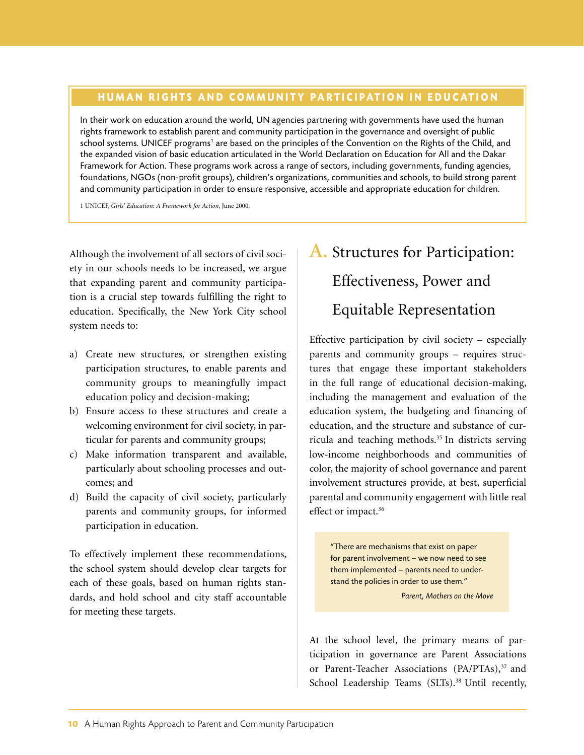#### **HUMAN RIGHTS AND COMMUNITY PARTICIPATION IN EDUCATION**

In their work on education around the world, UN agencies partnering with governments have used the human rights framework to establish parent and community participation in the governance and oversight of public school systems. UNICEF programs<sup>1</sup> are based on the principles of the Convention on the Rights of the Child, and the expanded vision of basic education articulated in the World Declaration on Education for All and the Dakar Framework for Action. These programs work across a range of sectors, including governments, funding agencies, foundations, NGOs (non-profit groups), children's organizations, communities and schools, to build strong parent and community participation in order to ensure responsive, accessible and appropriate education for children.

1 UNICEF, *Girls' Education: A Framework for Action*, June 2000.

Although the involvement of all sectors of civil society in our schools needs to be increased, we argue that expanding parent and community participation is a crucial step towards fulfilling the right to education. Specifically, the New York City school system needs to:

- a) Create new structures, or strengthen existing participation structures, to enable parents and community groups to meaningfully impact education policy and decision-making;
- b) Ensure access to these structures and create a welcoming environment for civil society, in particular for parents and community groups;
- c) Make information transparent and available, particularly about schooling processes and outcomes; and
- d) Build the capacity of civil society, particularly parents and community groups, for informed participation in education.

To effectively implement these recommendations, the school system should develop clear targets for each of these goals, based on human rights standards, and hold school and city staff accountable for meeting these targets.

## **A.** Structures for Participation: Effectiveness, Power and Equitable Representation

Effective participation by civil society – especially parents and community groups – requires structures that engage these important stakeholders in the full range of educational decision-making, including the management and evaluation of the education system, the budgeting and financing of education, and the structure and substance of curricula and teaching methods.35 In districts serving low-income neighborhoods and communities of color, the majority of school governance and parent involvement structures provide, at best, superficial parental and community engagement with little real effect or impact.<sup>36</sup>

"There are mechanisms that exist on paper for parent involvement – we now need to see them implemented – parents need to understand the policies in order to use them."

*Parent, Mothers on the Move*

At the school level, the primary means of participation in governance are Parent Associations or Parent-Teacher Associations (PA/PTAs),<sup>37</sup> and School Leadership Teams (SLTs).<sup>38</sup> Until recently,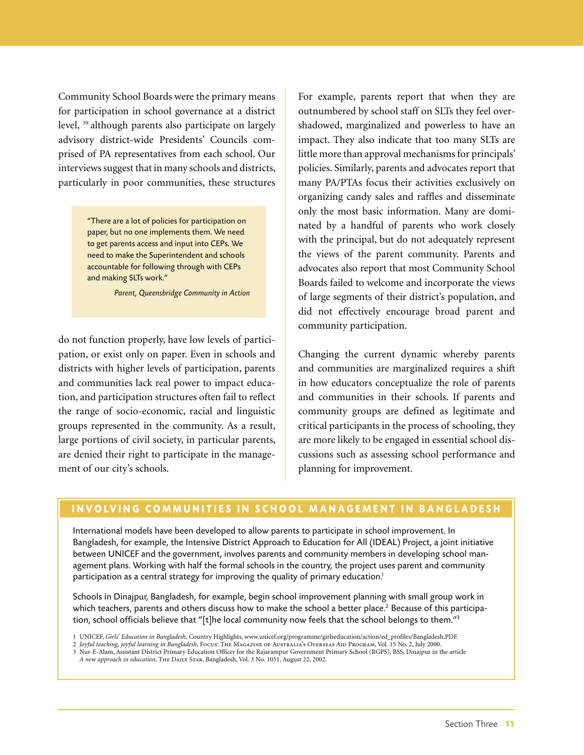Community School Boards were the primary means for participation in school governance at a district level, 39 although parents also participate on largely advisory district-wide Presidents' Councils comprised of PA representatives from each school. Our interviews suggest that in many schools and districts, particularly in poor communities, these structures

> "There are a lot of policies for participation on paper, but no one implements them. We need to get parents access and input into CEPs. We need to make the Superintendent and schools accountable for following through with CEPs and making SLTs work."

> > *Parent, Queensbridge Community in Action*

do not function properly, have low levels of participation, or exist only on paper. Even in schools and districts with higher levels of participation, parents and communities lack real power to impact education, and participation structures often fail to reflect the range of socio-economic, racial and linguistic groups represented in the community. As a result, large portions of civil society, in particular parents, are denied their right to participate in the management of our city's schools.

For example, parents report that when they are outnumbered by school staff on SLTs they feel overshadowed, marginalized and powerless to have an impact. They also indicate that too many SLTs are little more than approval mechanisms for principals' policies. Similarly, parents and advocates report that many PA/PTAs focus their activities exclusively on organizing candy sales and raffles and disseminate only the most basic information. Many are dominated by a handful of parents who work closely with the principal, but do not adequately represent the views of the parent community. Parents and advocates also report that most Community School Boards failed to welcome and incorporate the views of large segments of their district's population, and did not effectively encourage broad parent and community participation.

Changing the current dynamic whereby parents and communities are marginalized requires a shift in how educators conceptualize the role of parents and communities in their schools. If parents and community groups are defined as legitimate and critical participants in the process of schooling, they are more likely to be engaged in essential school discussions such as assessing school performance and planning for improvement.

#### **INVOLVING COMMUNITIES IN SCHOOL MANAGEMENT IN BANGLADESH**

International models have been developed to allow parents to participate in school improvement. In Bangladesh, for example, the Intensive District Approach to Education for All (IDEAL) Project, a joint initiative between UNICEF and the government, involves parents and community members in developing school management plans. Working with half the formal schools in the country, the project uses parent and community participation as a central strategy for improving the quality of primary education.<sup>1</sup>

Schools in Dinajpur, Bangladesh, for example, begin school improvement planning with small group work in which teachers, parents and others discuss how to make the school a better place.<sup>2</sup> Because of this participation, school officials believe that "[t]he local community now feels that the school belongs to them."<sup>3</sup>

- 1 UNICEF, *Girls' Education in Bangladesh*, Country Highlights, www.unicef.org/programme/girlseducation/action/ed\_profiles/Bangladesh.PDF.
- 2 *Joyful teaching, joyful learning in Bangladesh*, Focus: The Magazine of Australia's Overseas Aid Program, Vol. 15 No. 2, July 2000.
- 3 Nur-E-Alam, Assistant District Primary Education Officer for the Rajarampur Government Primary School (RGPS), BSS, Dinajpur in the article *A new approach in education*, The Daily Star, Bangladesh, Vol. 3 No. 1051, August 22, 2002.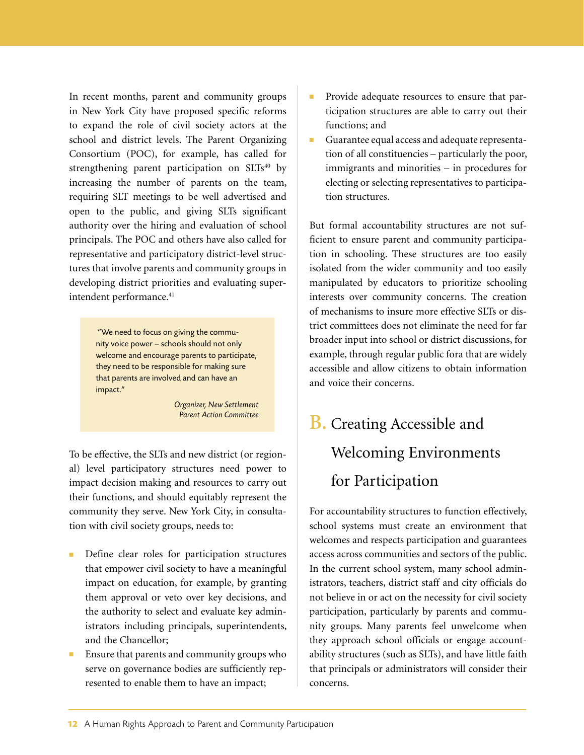In recent months, parent and community groups in New York City have proposed specific reforms to expand the role of civil society actors at the school and district levels. The Parent Organizing Consortium (POC), for example, has called for strengthening parent participation on SLTs<sup>40</sup> by increasing the number of parents on the team, requiring SLT meetings to be well advertised and open to the public, and giving SLTs significant authority over the hiring and evaluation of school principals. The POC and others have also called for representative and participatory district-level structures that involve parents and community groups in developing district priorities and evaluating superintendent performance.<sup>41</sup>

> "We need to focus on giving the community voice power – schools should not only welcome and encourage parents to participate, they need to be responsible for making sure that parents are involved and can have an impact."

> > *Organizer, New Settlement Parent Action Committee*

To be effective, the SLTs and new district (or regional) level participatory structures need power to impact decision making and resources to carry out their functions, and should equitably represent the community they serve. New York City, in consultation with civil society groups, needs to:

- Define clear roles for participation structures that empower civil society to have a meaningful impact on education, for example, by granting them approval or veto over key decisions, and the authority to select and evaluate key administrators including principals, superintendents, and the Chancellor;
- Ensure that parents and community groups who serve on governance bodies are sufficiently represented to enable them to have an impact;
- Provide adequate resources to ensure that participation structures are able to carry out their functions; and
- Guarantee equal access and adequate representation of all constituencies – particularly the poor, immigrants and minorities – in procedures for electing or selecting representatives to participation structures.

But formal accountability structures are not sufficient to ensure parent and community participation in schooling. These structures are too easily isolated from the wider community and too easily manipulated by educators to prioritize schooling interests over community concerns. The creation of mechanisms to insure more effective SLTs or district committees does not eliminate the need for far broader input into school or district discussions, for example, through regular public fora that are widely accessible and allow citizens to obtain information and voice their concerns.

## **B.** Creating Accessible and Welcoming Environments for Participation

For accountability structures to function effectively, school systems must create an environment that welcomes and respects participation and guarantees access across communities and sectors of the public. In the current school system, many school administrators, teachers, district staff and city officials do not believe in or act on the necessity for civil society participation, particularly by parents and community groups. Many parents feel unwelcome when they approach school officials or engage accountability structures (such as SLTs), and have little faith that principals or administrators will consider their concerns.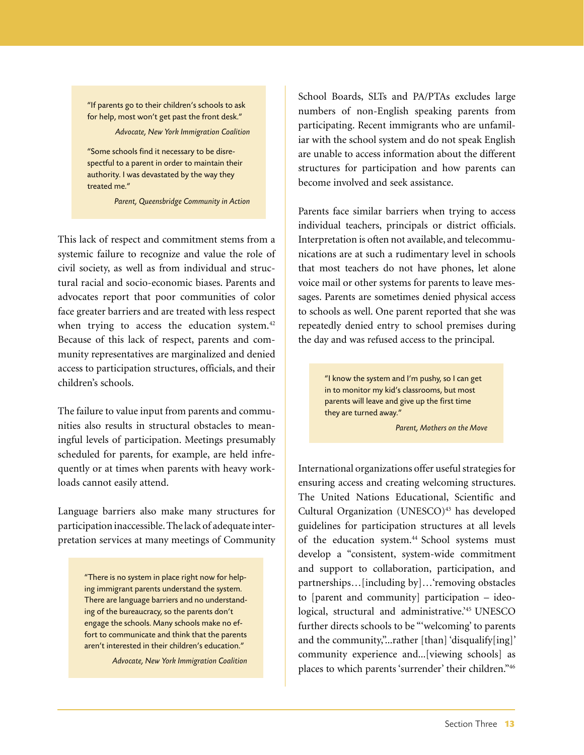"If parents go to their children's schools to ask for help, most won't get past the front desk." *Advocate, New York Immigration Coalition*

"Some schools find it necessary to be disrespectful to a parent in order to maintain their authority. I was devastated by the way they treated me."

*Parent, Queensbridge Community in Action*

This lack of respect and commitment stems from a systemic failure to recognize and value the role of civil society, as well as from individual and structural racial and socio-economic biases. Parents and advocates report that poor communities of color face greater barriers and are treated with less respect when trying to access the education system. $42$ Because of this lack of respect, parents and community representatives are marginalized and denied access to participation structures, officials, and their children's schools.

The failure to value input from parents and communities also results in structural obstacles to meaningful levels of participation. Meetings presumably scheduled for parents, for example, are held infrequently or at times when parents with heavy workloads cannot easily attend.

Language barriers also make many structures for participation inaccessible. The lack of adequate interpretation services at many meetings of Community

> "There is no system in place right now for helping immigrant parents understand the system. There are language barriers and no understanding of the bureaucracy, so the parents don't engage the schools. Many schools make no effort to communicate and think that the parents aren't interested in their children's education."

> > *Advocate, New York Immigration Coalition*

School Boards, SLTs and PA/PTAs excludes large numbers of non-English speaking parents from participating. Recent immigrants who are unfamiliar with the school system and do not speak English are unable to access information about the different structures for participation and how parents can become involved and seek assistance.

Parents face similar barriers when trying to access individual teachers, principals or district officials. Interpretation is often not available, and telecommunications are at such a rudimentary level in schools that most teachers do not have phones, let alone voice mail or other systems for parents to leave messages. Parents are sometimes denied physical access to schools as well. One parent reported that she was repeatedly denied entry to school premises during the day and was refused access to the principal.

> "I know the system and I'm pushy, so I can get in to monitor my kid's classrooms, but most parents will leave and give up the first time they are turned away."

> > *Parent, Mothers on the Move*

International organizations offer useful strategies for ensuring access and creating welcoming structures. The United Nations Educational, Scientific and Cultural Organization (UNESCO)<sup>43</sup> has developed guidelines for participation structures at all levels of the education system.<sup>44</sup> School systems must develop a "consistent, system-wide commitment and support to collaboration, participation, and partnerships…[including by]…'removing obstacles to [parent and community] participation – ideological, structural and administrative.'45 UNESCO further directs schools to be "'welcoming' to parents and the community,"...rather [than] 'disqualify[ing]' community experience and...[viewing schools] as places to which parents 'surrender' their children."46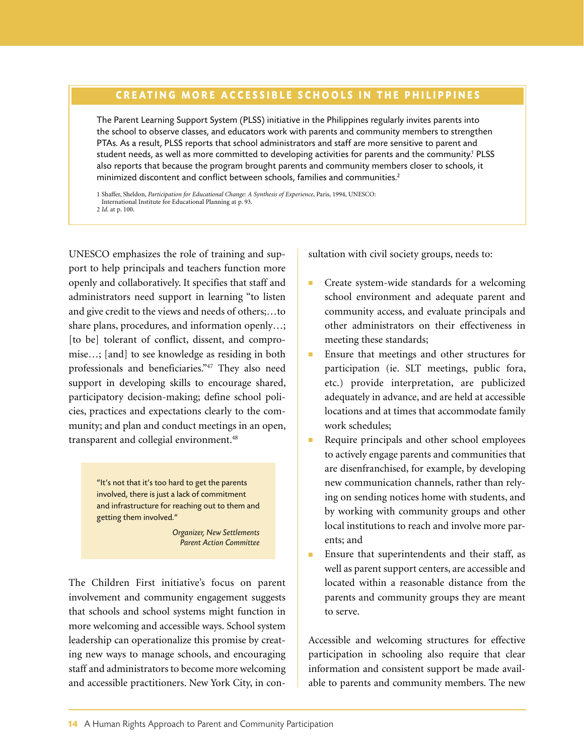#### **CREATING MORE ACCESSIBLE SCHOOLS IN THE PHILIPPINES**

The Parent Learning Support System (PLSS) initiative in the Philippines regularly invites parents into the school to observe classes, and educators work with parents and community members to strengthen PTAs. As a result, PLSS reports that school administrators and staff are more sensitive to parent and student needs, as well as more committed to developing activities for parents and the community.<sup>1</sup> PLSS also reports that because the program brought parents and community members closer to schools, it minimized discontent and conflict between schools, families and communities.<sup>2</sup>

1 Shaffer, Sheldon, *Participation for Educational Change: A Synthesis of Experience*, Paris, 1994, UNESCO: International Institute for Educational Planning at p. 93. 2 *Id*. at p. 100.

UNESCO emphasizes the role of training and support to help principals and teachers function more openly and collaboratively. It specifies that staff and administrators need support in learning "to listen and give credit to the views and needs of others;…to share plans, procedures, and information openly…; [to be] tolerant of conflict, dissent, and compromise…; [and] to see knowledge as residing in both professionals and beneficiaries."47 They also need support in developing skills to encourage shared, participatory decision-making; define school policies, practices and expectations clearly to the community; and plan and conduct meetings in an open, transparent and collegial environment.<sup>48</sup>

> "It's not that it's too hard to get the parents involved, there is just a lack of commitment and infrastructure for reaching out to them and getting them involved."

> > *Organizer, New Settlements Parent Action Committee*

The Children First initiative's focus on parent involvement and community engagement suggests that schools and school systems might function in more welcoming and accessible ways. School system leadership can operationalize this promise by creating new ways to manage schools, and encouraging staff and administrators to become more welcoming and accessible practitioners. New York City, in consultation with civil society groups, needs to:

- Create system-wide standards for a welcoming school environment and adequate parent and community access, and evaluate principals and other administrators on their effectiveness in meeting these standards;
- Ensure that meetings and other structures for participation (ie. SLT meetings, public fora, etc.) provide interpretation, are publicized adequately in advance, and are held at accessible locations and at times that accommodate family work schedules;
- Require principals and other school employees to actively engage parents and communities that are disenfranchised, for example, by developing new communication channels, rather than relying on sending notices home with students, and by working with community groups and other local institutions to reach and involve more parents; and
- Ensure that superintendents and their staff, as well as parent support centers, are accessible and located within a reasonable distance from the parents and community groups they are meant to serve.

Accessible and welcoming structures for effective participation in schooling also require that clear information and consistent support be made available to parents and community members. The new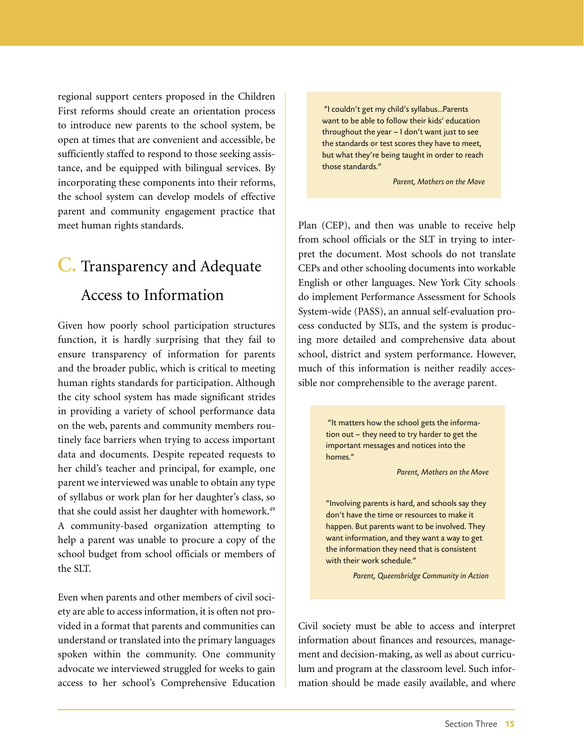regional support centers proposed in the Children First reforms should create an orientation process to introduce new parents to the school system, be open at times that are convenient and accessible, be sufficiently staffed to respond to those seeking assistance, and be equipped with bilingual services. By incorporating these components into their reforms, the school system can develop models of effective parent and community engagement practice that meet human rights standards.

## **C.** Transparency and Adequate Access to Information

Given how poorly school participation structures function, it is hardly surprising that they fail to ensure transparency of information for parents and the broader public, which is critical to meeting human rights standards for participation. Although the city school system has made significant strides in providing a variety of school performance data on the web, parents and community members routinely face barriers when trying to access important data and documents. Despite repeated requests to her child's teacher and principal, for example, one parent we interviewed was unable to obtain any type of syllabus or work plan for her daughter's class, so that she could assist her daughter with homework.<sup>49</sup> A community-based organization attempting to help a parent was unable to procure a copy of the school budget from school officials or members of the SLT.

Even when parents and other members of civil society are able to access information, it is often not provided in a format that parents and communities can understand or translated into the primary languages spoken within the community. One community advocate we interviewed struggled for weeks to gain access to her school's Comprehensive Education

 "I couldn't get my child's syllabus…Parents want to be able to follow their kids' education throughout the year – I don't want just to see the standards or test scores they have to meet, but what they're being taught in order to reach those standards."

 *Parent, Mothers on the Move*

Plan (CEP), and then was unable to receive help from school officials or the SLT in trying to interpret the document. Most schools do not translate CEPs and other schooling documents into workable English or other languages. New York City schools do implement Performance Assessment for Schools System-wide (PASS), an annual self-evaluation process conducted by SLTs, and the system is producing more detailed and comprehensive data about school, district and system performance. However, much of this information is neither readily accessible nor comprehensible to the average parent.

> "It matters how the school gets the information out – they need to try harder to get the important messages and notices into the homes."

> > *Parent, Mothers on the Move*

"Involving parents is hard, and schools say they don't have the time or resources to make it happen. But parents want to be involved. They want information, and they want a way to get the information they need that is consistent with their work schedule."

 *Parent, Queensbridge Community in Action*

Civil society must be able to access and interpret information about finances and resources, management and decision-making, as well as about curriculum and program at the classroom level. Such information should be made easily available, and where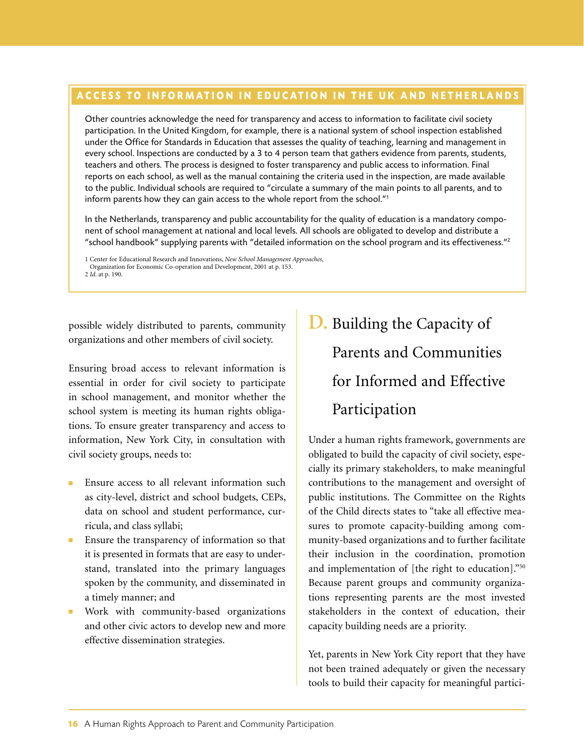#### **ACCESS TO INFORMATION IN EDUCATION IN THE UK AND NETHERLANDS**

Other countries acknowledge the need for transparency and access to information to facilitate civil society participation. In the United Kingdom, for example, there is a national system of school inspection established under the Office for Standards in Education that assesses the quality of teaching, learning and management in every school. Inspections are conducted by a 3 to 4 person team that gathers evidence from parents, students, teachers and others. The process is designed to foster transparency and public access to information. Final reports on each school, as well as the manual containing the criteria used in the inspection, are made available to the public. Individual schools are required to "circulate a summary of the main points to all parents, and to inform parents how they can gain access to the whole report from the school."1

In the Netherlands, transparency and public accountability for the quality of education is a mandatory component of school management at national and local levels. All schools are obligated to develop and distribute a "school handbook" supplying parents with "detailed information on the school program and its effectiveness."2

1 Center for Educational Research and Innovations, *New School Management Approaches*,

Organization for Economic Co-operation and Development, 2001 at p. 153.

2 *Id*. at p. 190.

possible widely distributed to parents, community organizations and other members of civil society.

Ensuring broad access to relevant information is essential in order for civil society to participate in school management, and monitor whether the school system is meeting its human rights obligations. To ensure greater transparency and access to information, New York City, in consultation with civil society groups, needs to:

- Ensure access to all relevant information such as city-level, district and school budgets, CEPs, data on school and student performance, curricula, and class syllabi;
- Ensure the transparency of information so that it is presented in formats that are easy to understand, translated into the primary languages spoken by the community, and disseminated in a timely manner; and
- Work with community-based organizations and other civic actors to develop new and more effective dissemination strategies.

## **D.** Building the Capacity of Parents and Communities for Informed and Effective Participation

Under a human rights framework, governments are obligated to build the capacity of civil society, especially its primary stakeholders, to make meaningful contributions to the management and oversight of public institutions. The Committee on the Rights of the Child directs states to "take all effective measures to promote capacity-building among community-based organizations and to further facilitate their inclusion in the coordination, promotion and implementation of [the right to education]."50 Because parent groups and community organizations representing parents are the most invested stakeholders in the context of education, their capacity building needs are a priority.

Yet, parents in New York City report that they have not been trained adequately or given the necessary tools to build their capacity for meaningful partici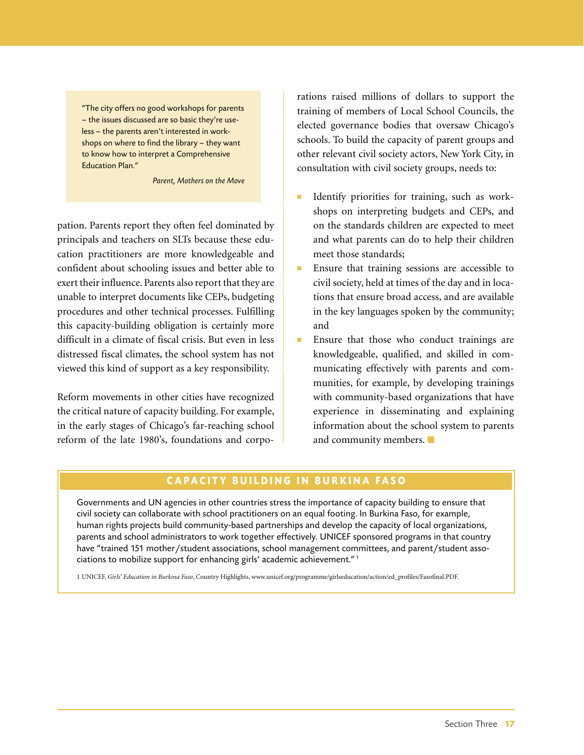"The city offers no good workshops for parents – the issues discussed are so basic they're useless – the parents aren't interested in workshops on where to find the library – they want to know how to interpret a Comprehensive Education Plan."

*Parent, Mothers on the Move*

pation. Parents report they often feel dominated by principals and teachers on SLTs because these education practitioners are more knowledgeable and confident about schooling issues and better able to exert their influence. Parents also report that they are unable to interpret documents like CEPs, budgeting procedures and other technical processes. Fulfilling this capacity-building obligation is certainly more difficult in a climate of fiscal crisis. But even in less distressed fiscal climates, the school system has not viewed this kind of support as a key responsibility.

Reform movements in other cities have recognized the critical nature of capacity building. For example, in the early stages of Chicago's far-reaching school reform of the late 1980's, foundations and corporations raised millions of dollars to support the training of members of Local School Councils, the elected governance bodies that oversaw Chicago's schools. To build the capacity of parent groups and other relevant civil society actors, New York City, in consultation with civil society groups, needs to:

- Identify priorities for training, such as workshops on interpreting budgets and CEPs, and on the standards children are expected to meet and what parents can do to help their children meet those standards;
- Ensure that training sessions are accessible to civil society, held at times of the day and in locations that ensure broad access, and are available in the key languages spoken by the community; and
- Ensure that those who conduct trainings are knowledgeable, qualified, and skilled in communicating effectively with parents and communities, for example, by developing trainings with community-based organizations that have experience in disseminating and explaining information about the school system to parents and community members. ■

#### **C A P A C I T Y B U I L D I N G I N B U R K I N A F A S O**

Governments and UN agencies in other countries stress the importance of capacity building to ensure that civil society can collaborate with school practitioners on an equal footing. In Burkina Faso, for example, human rights projects build community-based partnerships and develop the capacity of local organizations, parents and school administrators to work together effectively. UNICEF sponsored programs in that country have "trained 151 mother/student associations, school management committees, and parent/student associations to mobilize support for enhancing girls' academic achievement." 1

1 UNICEF, *Girls' Education in Burkina Faso*, Country Highlights, www.unicef.org/programme/girlseducation/action/ed\_profiles/Fasofinal.PDF.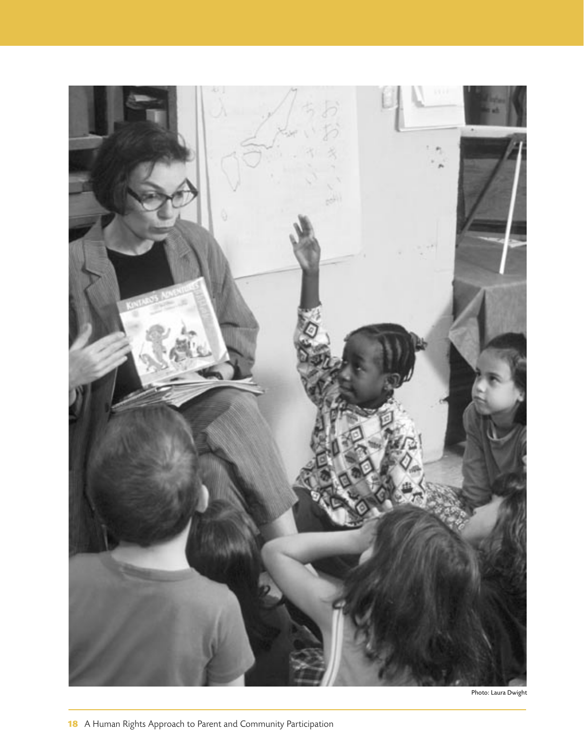

Photo: Laura Dwight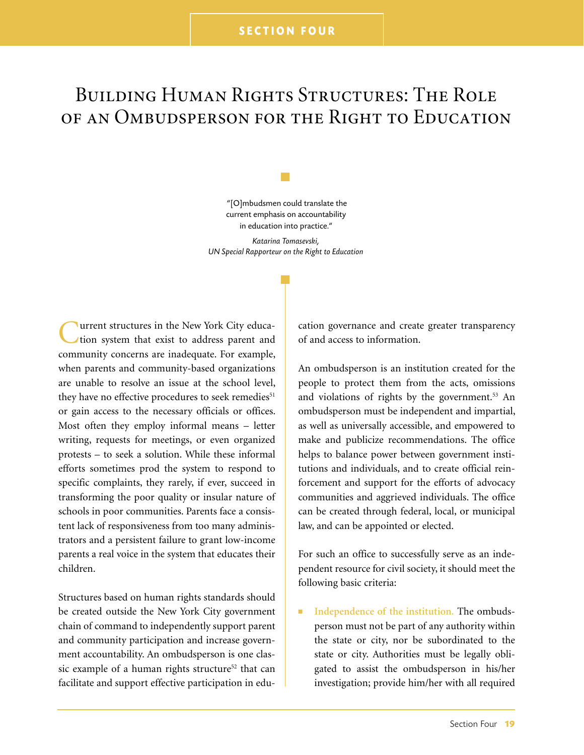## Building Human Rights Structures: The Role of an Ombudsperson for the Right to Education

 "[O]mbudsmen could translate the current emphasis on accountability in education into practice."

*Katarina Tomasevski, UN Special Rapporteur on the Right to Education*

Current structures in the New York City educa-tion system that exist to address parent and community concerns are inadequate. For example, when parents and community-based organizations are unable to resolve an issue at the school level, they have no effective procedures to seek remedies<sup>51</sup> or gain access to the necessary officials or offices. Most often they employ informal means – letter writing, requests for meetings, or even organized protests – to seek a solution. While these informal efforts sometimes prod the system to respond to specific complaints, they rarely, if ever, succeed in transforming the poor quality or insular nature of schools in poor communities. Parents face a consistent lack of responsiveness from too many administrators and a persistent failure to grant low-income parents a real voice in the system that educates their children.

Structures based on human rights standards should be created outside the New York City government chain of command to independently support parent and community participation and increase government accountability. An ombudsperson is one classic example of a human rights structure<sup>52</sup> that can facilitate and support effective participation in education governance and create greater transparency of and access to information.

An ombudsperson is an institution created for the people to protect them from the acts, omissions and violations of rights by the government.<sup>53</sup> An ombudsperson must be independent and impartial, as well as universally accessible, and empowered to make and publicize recommendations. The office helps to balance power between government institutions and individuals, and to create official reinforcement and support for the efforts of advocacy communities and aggrieved individuals. The office can be created through federal, local, or municipal law, and can be appointed or elected.

For such an office to successfully serve as an independent resource for civil society, it should meet the following basic criteria:

■ **Independence of the institution. The ombuds**person must not be part of any authority within the state or city, nor be subordinated to the state or city. Authorities must be legally obligated to assist the ombudsperson in his/her investigation; provide him/her with all required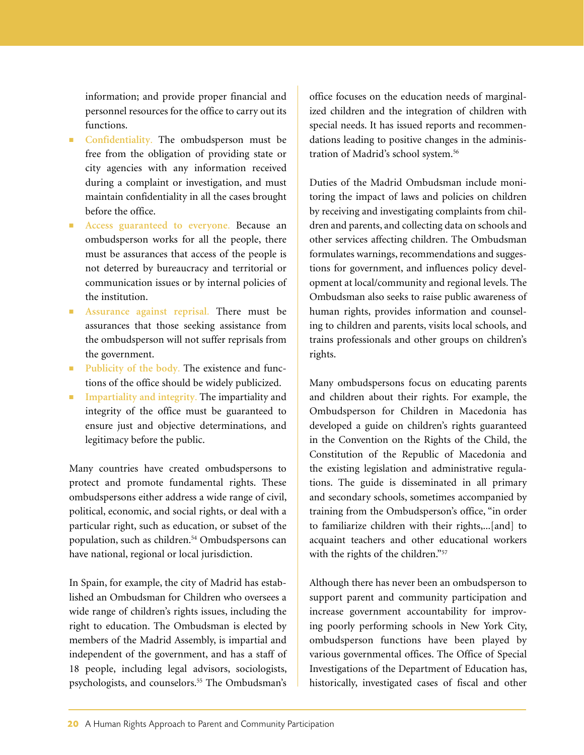information; and provide proper financial and personnel resources for the office to carry out its functions.

- Confidentiality. The ombudsperson must be free from the obligation of providing state or city agencies with any information received during a complaint or investigation, and must maintain confidentiality in all the cases brought before the office.
- Access guaranteed to everyone. Because an ombudsperson works for all the people, there must be assurances that access of the people is not deterred by bureaucracy and territorial or communication issues or by internal policies of the institution.
- **Assurance** against reprisal. There must be assurances that those seeking assistance from the ombudsperson will not suffer reprisals from the government.
- Publicity of the body. The existence and functions of the office should be widely publicized.
- **Impartiality and integrity**. The impartiality and integrity of the office must be guaranteed to ensure just and objective determinations, and legitimacy before the public.

Many countries have created ombudspersons to protect and promote fundamental rights. These ombudspersons either address a wide range of civil, political, economic, and social rights, or deal with a particular right, such as education, or subset of the population, such as children.<sup>54</sup> Ombudspersons can have national, regional or local jurisdiction.

In Spain, for example, the city of Madrid has established an Ombudsman for Children who oversees a wide range of children's rights issues, including the right to education. The Ombudsman is elected by members of the Madrid Assembly, is impartial and independent of the government, and has a staff of 18 people, including legal advisors, sociologists, psychologists, and counselors.<sup>55</sup> The Ombudsman's office focuses on the education needs of marginalized children and the integration of children with special needs. It has issued reports and recommendations leading to positive changes in the administration of Madrid's school system.56

Duties of the Madrid Ombudsman include monitoring the impact of laws and policies on children by receiving and investigating complaints from children and parents, and collecting data on schools and other services affecting children. The Ombudsman formulates warnings, recommendations and suggestions for government, and influences policy development at local/community and regional levels. The Ombudsman also seeks to raise public awareness of human rights, provides information and counseling to children and parents, visits local schools, and trains professionals and other groups on children's rights.

Many ombudspersons focus on educating parents and children about their rights. For example, the Ombudsperson for Children in Macedonia has developed a guide on children's rights guaranteed in the Convention on the Rights of the Child, the Constitution of the Republic of Macedonia and the existing legislation and administrative regulations. The guide is disseminated in all primary and secondary schools, sometimes accompanied by training from the Ombudsperson's office, "in order to familiarize children with their rights,...[and] to acquaint teachers and other educational workers with the rights of the children."<sup>57</sup>

Although there has never been an ombudsperson to support parent and community participation and increase government accountability for improving poorly performing schools in New York City, ombudsperson functions have been played by various governmental offices. The Office of Special Investigations of the Department of Education has, historically, investigated cases of fiscal and other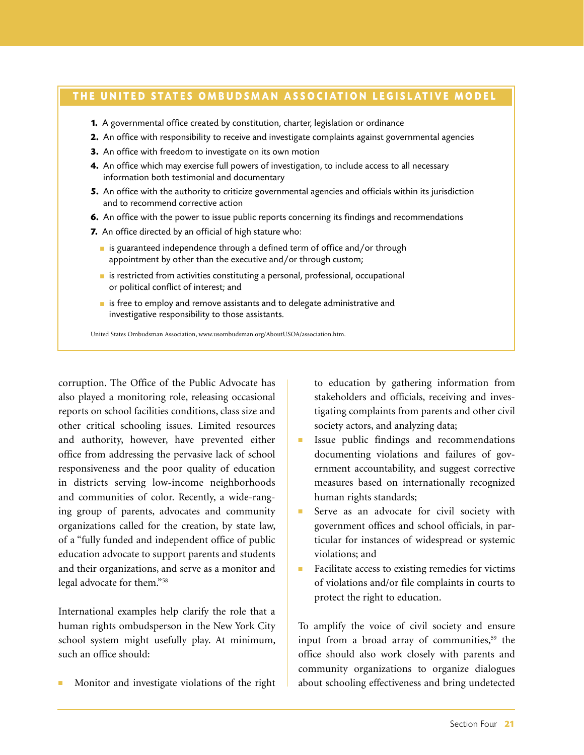#### **THE UNITED STATES OMBUDSMAN ASSOCIATION LEGISLATIVE MODEL**

- **1.** A governmental office created by constitution, charter, legislation or ordinance
- **2.** An office with responsibility to receive and investigate complaints against governmental agencies
- **3.** An office with freedom to investigate on its own motion
- **4.** An office which may exercise full powers of investigation, to include access to all necessary information both testimonial and documentary
- **5.** An office with the authority to criticize governmental agencies and officials within its jurisdiction and to recommend corrective action
- **6.** An office with the power to issue public reports concerning its findings and recommendations
- **7.** An office directed by an official of high stature who:
	- is guaranteed independence through a defined term of office and/or through appointment by other than the executive and/or through custom;
	- is restricted from activities constituting a personal, professional, occupational or political conflict of interest; and
	- is free to employ and remove assistants and to delegate administrative and investigative responsibility to those assistants.

United States Ombudsman Association, www.usombudsman.org/AboutUSOA/association.htm.

corruption. The Office of the Public Advocate has also played a monitoring role, releasing occasional reports on school facilities conditions, class size and other critical schooling issues. Limited resources and authority, however, have prevented either office from addressing the pervasive lack of school responsiveness and the poor quality of education in districts serving low-income neighborhoods and communities of color. Recently, a wide-ranging group of parents, advocates and community organizations called for the creation, by state law, of a "fully funded and independent office of public education advocate to support parents and students and their organizations, and serve as a monitor and legal advocate for them."58

International examples help clarify the role that a human rights ombudsperson in the New York City school system might usefully play. At minimum, such an office should:

Monitor and investigate violations of the right

to education by gathering information from stakeholders and officials, receiving and investigating complaints from parents and other civil society actors, and analyzing data;

- Issue public findings and recommendations documenting violations and failures of government accountability, and suggest corrective measures based on internationally recognized human rights standards;
- Serve as an advocate for civil society with government offices and school officials, in particular for instances of widespread or systemic violations; and
- Facilitate access to existing remedies for victims of violations and/or file complaints in courts to protect the right to education.

To amplify the voice of civil society and ensure input from a broad array of communities,<sup>59</sup> the office should also work closely with parents and community organizations to organize dialogues about schooling effectiveness and bring undetected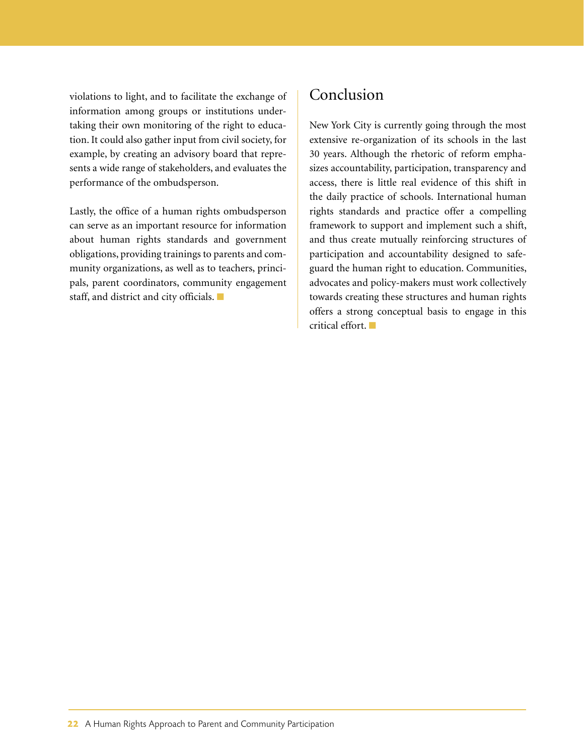violations to light, and to facilitate the exchange of information among groups or institutions undertaking their own monitoring of the right to education. It could also gather input from civil society, for example, by creating an advisory board that represents a wide range of stakeholders, and evaluates the performance of the ombudsperson.

Lastly, the office of a human rights ombudsperson can serve as an important resource for information about human rights standards and government obligations, providing trainings to parents and community organizations, as well as to teachers, principals, parent coordinators, community engagement staff, and district and city officials. ■

### Conclusion

New York City is currently going through the most extensive re-organization of its schools in the last 30 years. Although the rhetoric of reform emphasizes accountability, participation, transparency and access, there is little real evidence of this shift in the daily practice of schools. International human rights standards and practice offer a compelling framework to support and implement such a shift, and thus create mutually reinforcing structures of participation and accountability designed to safeguard the human right to education. Communities, advocates and policy-makers must work collectively towards creating these structures and human rights offers a strong conceptual basis to engage in this critical effort.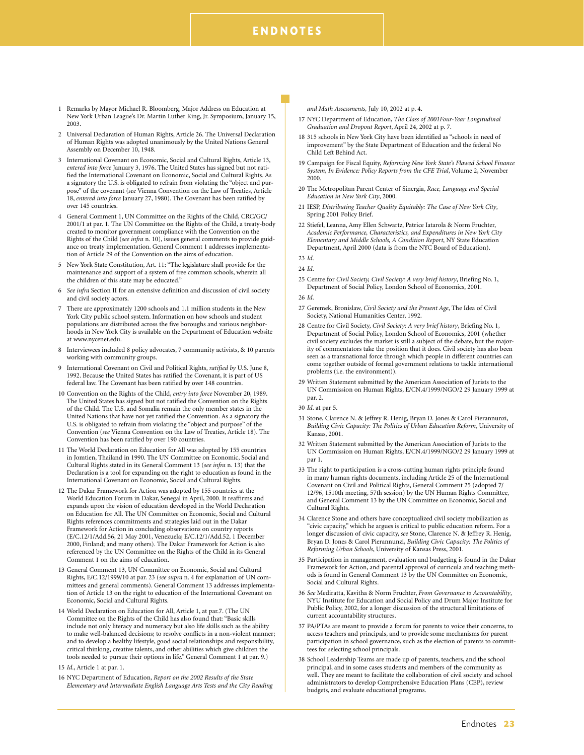#### **E N D N O T E S**

- 1 Remarks by Mayor Michael R. Bloomberg, Major Address on Education at New York Urban League's Dr. Martin Luther King, Jr. Symposium, January 15, 2003.
- 2 Universal Declaration of Human Rights, Article 26. The Universal Declaration of Human Rights was adopted unanimously by the United Nations General Assembly on December 10, 1948.
- 3 International Covenant on Economic, Social and Cultural Rights, Article 13, *entered into force* January 3, 1976. The United States has signed but not ratified the International Covenant on Economic, Social and Cultural Rights. As a signatory the U.S. is obligated to refrain from violating the "object and purpose" of the covenant (*see* Vienna Convention on the Law of Treaties, Article 18, *entered into force* January 27, 1980). The Covenant has been ratified by over 145 countries
- 4 General Comment 1, UN Committee on the Rights of the Child, CRC/GC/ 2001/1 at par. 1. The UN Committee on the Rights of the Child, a treaty-body created to monitor government compliance with the Convention on the Rights of the Child (*see infra* n. 10), issues general comments to provide guidance on treaty implementation. General Comment 1 addresses implementation of Article 29 of the Convention on the aims of education.
- 5 New York State Constitution, Art. 11: "The legislature shall provide for the maintenance and support of a system of free common schools, wherein all the children of this state may be educated."
- 6 *See infra* Section II for an extensive definition and discussion of civil society and civil society actors.
- 7 There are approximately 1200 schools and 1.1 million students in the New York City public school system. Information on how schools and student populations are distributed across the five boroughs and various neighborhoods in New York City is available on the Department of Education website at www.nycenet.edu.
- 8 Interviewees included 8 policy advocates, 7 community activists, & 10 parents working with community groups.
- 9 International Covenant on Civil and Political Rights, *ratified by* U.S. June 8, 1992. Because the United States has ratified the Covenant, it is part of US federal law. The Covenant has been ratified by over 148 countries.
- 10 Convention on the Rights of the Child, *entry into force* November 20, 1989. The United States has signed but not ratified the Convention on the Rights of the Child. The U.S. and Somalia remain the only member states in the United Nations that have not yet ratified the Convention. As a signatory the U.S. is obligated to refrain from violating the "object and purpose" of the Convention (*see* Vienna Convention on the Law of Treaties, Article 18). The Convention has been ratified by over 190 countries.
- 11 The World Declaration on Education for All was adopted by 155 countries in Jomtien, Thailand in 1990. The UN Committee on Economic, Social and Cultural Rights stated in its General Comment 13 (*see infra* n. 13) that the Declaration is a tool for expanding on the right to education as found in the International Covenant on Economic, Social and Cultural Rights.
- 12 The Dakar Framework for Action was adopted by 155 countries at the World Education Forum in Dakar, Senegal in April, 2000. It reaffirms and expands upon the vision of education developed in the World Declaration on Education for All. The UN Committee on Economic, Social and Cultural Rights references commitments and strategies laid out in the Dakar Framework for Action in concluding observations on country reports (E/C.12/1/Add.56, 21 May 2001, Venezuela; E/C.12/1/Add.52, 1 December 2000, Finland; and many others). The Dakar Framework for Action is also referenced by the UN Committee on the Rights of the Child in its General Comment 1 on the aims of education.
- 13 General Comment 13, UN Committee on Economic, Social and Cultural Rights, E/C.12/1999/10 at par. 23 (*see supra* n. 4 for explanation of UN committees and general comments). General Comment 13 addresses implementation of Article 13 on the right to education of the International Covenant on Economic, Social and Cultural Rights.
- 14 World Declaration on Education for All, Article 1, at par.7. (The UN Committee on the Rights of the Child has also found that: "Basic skills include not only literacy and numeracy but also life skills such as the ability to make well-balanced decisions; to resolve conflicts in a non-violent manner; and to develop a healthy lifestyle, good social relationships and responsibility, critical thinking, creative talents, and other abilities which give children the tools needed to pursue their options in life." General Comment 1 at par. 9.)

15 *Id*., Article 1 at par. 1.

16 NYC Department of Education, *Report on the 2002 Results of the State Elementary and Intermediate English Language Arts Tests and the City Reading*  *and Math Assessments,* July 10, 2002 at p. 4.

- 17 NYC Department of Education, *The Class of 2001Four-Year Longitudinal Graduation and Dropout Report*, April 24, 2002 at p. 7.
- 18 315 schools in New York City have been identified as "schools in need of improvement" by the State Department of Education and the federal No Child Left Behind Act.
- 19 Campaign for Fiscal Equity, *Reforming New York State's Flawed School Finance System, In Evidence: Policy Reports from the CFE Trial*, Volume 2, November 2000.
- 20 The Metropolitan Parent Center of Sinergia, *Race, Language and Special Education in New York City*, 2000.
- 21 IESP, *Distributing Teacher Quality Equitably: The Case of New York City*, Spring 2001 Policy Brief.
- 22 Stiefel, Leanna, Amy Ellen Schwartz, Patrice Iatarola & Norm Fruchter, *Academic Performance, Characteristics, and Expenditures in New York City Elementary and Middle Schools, A Condition Report*, NY State Education Department, April 2000 (data is from the NYC Board of Education).

24 *Id*.

- 25 Centre for *Civil Society, Civil Society: A very brief history*, Briefing No. 1, Department of Social Policy, London School of Economics, 2001.
- 26 *Id*.
- 27 Geremek, Bronislaw, *Civil Society and the Present Age*, The Idea of Civil Society, National Humanities Center, 1992.
- 28 Centre for Civil Society, *Civil Society: A very brief history*, Briefing No. 1, Department of Social Policy, London School of Economics, 2001 (whether civil society excludes the market is still a subject of the debate, but the majority of commentators take the position that it does. Civil society has also been seen as a transnational force through which people in different countries can come together outside of formal government relations to tackle international problems (i.e. the environment)).
- 29 Written Statement submitted by the American Association of Jurists to the UN Commission on Human Rights, E/CN.4/1999/NGO/2 29 January 1999 at par. 2.

- 31 Stone, Clarence N. & Jeffrey R. Henig, Bryan D. Jones & Carol Pierannunzi, *Building Civic Capacity: The Politics of Urban Education Reform*, University of Kansas, 2001.
- 32 Written Statement submitted by the American Association of Jurists to the UN Commission on Human Rights, E/CN.4/1999/NGO/2 29 January 1999 at par 1.
- 33 The right to participation is a cross-cutting human rights principle found in many human rights documents, including Article 25 of the International Covenant on Civil and Political Rights, General Comment 25 (adopted 7/ 12/96, 1510th meeting, 57th session) by the UN Human Rights Committee, and General Comment 13 by the UN Committee on Economic, Social and Cultural Rights.
- 34 Clarence Stone and others have conceptualized civil society mobilization as "civic capacity," which he argues is critical to public education reform. For a longer discussion of civic capacity, *see* Stone, Clarence N. & Jeffrey R. Henig, Bryan D. Jones & Carol Pierannunzi, *Building Civic Capacity: The Politics of Reforming Urban Schools*, University of Kansas Press, 2001.
- 35 Participation in management, evaluation and budgeting is found in the Dakar Framework for Action, and parental approval of curricula and teaching methods is found in General Comment 13 by the UN Committee on Economic, Social and Cultural Rights.
- 36 *See* Mediratta, Kavitha & Norm Fruchter, *From Governance to Accountability*, NYU Institute for Education and Social Policy and Drum Major Institute for Public Policy, 2002, for a longer discussion of the structural limitations of current accountability structures.
- 37 PA/PTAs are meant to provide a forum for parents to voice their concerns, to access teachers and principals, and to provide some mechanisms for parent participation in school governance, such as the election of parents to committees for selecting school principals.
- 38 School Leadership Teams are made up of parents, teachers, and the school principal, and in some cases students and members of the community as well. They are meant to facilitate the collaboration of civil society and school administrators to develop Comprehensive Education Plans (CEP), review budgets, and evaluate educational programs.

<sup>23</sup> *Id*.

<sup>30</sup> *Id*. at par 5.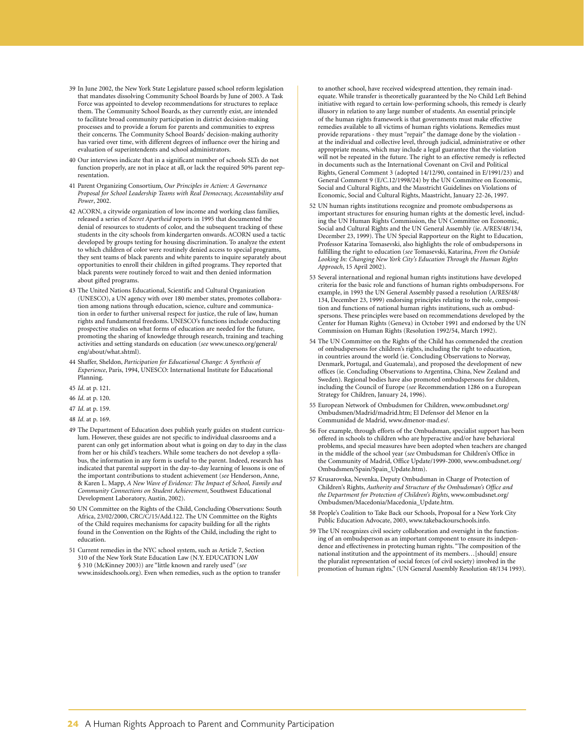- 39 In June 2002, the New York State Legislature passed school reform legislation that mandates dissolving Community School Boards by June of 2003. A Task Force was appointed to develop recommendations for structures to replace them. The Community School Boards, as they currently exist, are intended to facilitate broad community participation in district decision-making processes and to provide a forum for parents and communities to express their concerns. The Community School Boards' decision-making authority has varied over time, with different degrees of influence over the hiring and evaluation of superintendents and school administrators.
- 40 Our interviews indicate that in a significant number of schools SLTs do not function properly, are not in place at all, or lack the required 50% parent representation.
- 41 Parent Organizing Consortium, *Our Principles in Action: A Governance Proposal for School Leadership Teams with Real Democracy, Accountability and Power*, 2002.
- 42 ACORN, a citywide organization of low income and working class families, released a series of *Secret Apartheid* reports in 1995 that documented the denial of resources to students of color, and the subsequent tracking of these students in the city schools from kindergarten onwards. ACORN used a tactic developed by groups testing for housing discrimination. To analyze the extent to which children of color were routinely denied access to special programs, they sent teams of black parents and white parents to inquire separately about opportunities to enroll their children in gifted programs. They reported that black parents were routinely forced to wait and then denied information about gifted programs.
- 43 The United Nations Educational, Scientific and Cultural Organization (UNESCO), a UN agency with over 180 member states, promotes collaboration among nations through education, science, culture and communication in order to further universal respect for justice, the rule of law, human rights and fundamental freedoms. UNESCO's functions include conducting prospective studies on what forms of education are needed for the future, promoting the sharing of knowledge through research, training and teaching activities and setting standards on education (*see* www.unesco.org/general/ eng/about/what.shtml).
- 44 Shaffer, Sheldon, *Participation for Educational Change: A Synthesis of Experience*, Paris, 1994, UNESCO: International Institute for Educational Planning.
- 45 *Id*. at p. 121.
- 46 *Id*. at p. 120.
- 47 *Id*. at p. 159.
- 48 *Id*. at p. 169.
- 49 The Department of Education does publish yearly guides on student curriculum. However, these guides are not specific to individual classrooms and a parent can only get information about what is going on day to day in the class from her or his child's teachers. While some teachers do not develop a syllabus, the information in any form is useful to the parent. Indeed, research has indicated that parental support in the day-to-day learning of lessons is one of the important contributions to student achievement (*see* Henderson, Anne, & Karen L. Mapp, *A New Wave of Evidence: The Impact of School, Family and Community Connections on Student Achievement*, Southwest Educational Development Laboratory, Austin, 2002).
- 50 UN Committee on the Rights of the Child, Concluding Observations: South Africa, 23/02/2000, CRC/C/15/Add.122. The UN Committee on the Rights of the Child requires mechanisms for capacity building for all the rights found in the Convention on the Rights of the Child, including the right to education.
- 51 Current remedies in the NYC school system, such as Article 7, Section 310 of the New York State Education Law (N.Y. EDUCATION LAW § 310 (McKinney 2003)) are "little known and rarely used" (*see*  www.insideschools.org). Even when remedies, such as the option to transfer

to another school, have received widespread attention, they remain inadequate. While transfer is theoretically guaranteed by the No Child Left Behind initiative with regard to certain low-performing schools, this remedy is clearly illusory in relation to any large number of students. An essential principle of the human rights framework is that governments must make effective remedies available to all victims of human rights violations. Remedies must provide reparations - they must "repair" the damage done by the violation at the individual and collective level, through judicial, administrative or other appropriate means, which may include a legal guarantee that the violation will not be repeated in the future. The right to an effective remedy is reflected in documents such as the International Covenant on Civil and Political Rights, General Comment 3 (adopted 14/12/90, contained in E/1991/23) and General Comment 9 (E/C.12/1998/24) by the UN Committee on Economic, Social and Cultural Rights, and the Masstricht Guidelines on Violations of Economic, Social and Cultural Rights, Maastricht, January 22-26, 1997.

- 52 UN human rights institutions recognize and promote ombudspersons as important structures for ensuring human rights at the domestic level, including the UN Human Rights Commission, the UN Committee on Economic, Social and Cultural Rights and the UN General Assembly (ie. A/RES/48/134, December 23, 1999). The UN Special Rapporteur on the Right to Education, Professor Katarina Tomasevski, also highlights the role of ombudspersons in fulfilling the right to education (*see* Tomasevski, Katarina, *From the Outside Looking In: Changing New York City's Education Through the Human Rights Approach*, 15 April 2002).
- 53 Several international and regional human rights institutions have developed criteria for the basic role and functions of human rights ombudspersons. For example, in 1993 the UN General Assembly passed a resolution (A/RES/48/ 134, December 23, 1999) endorsing principles relating to the role, composition and functions of national human rights institutions, such as ombudspersons. These principles were based on recommendations developed by the Center for Human Rights (Geneva) in October 1991 and endorsed by the UN Commission on Human Rights (Resolution 1992/54, March 1992).
- 54 The UN Committee on the Rights of the Child has commended the creation of ombudspersons for children's rights, including the right to education, in countries around the world (ie. Concluding Observations to Norway, Denmark, Portugal, and Guatemala), and proposed the development of new offices (ie. Concluding Observations to Argentina, China, New Zealand and Sweden). Regional bodies have also promoted ombudspersons for children, including the Council of Europe (*see* Recommendation 1286 on a European Strategy for Children, January 24, 1996).
- 55 European Network of Ombudsmen for Children, www.ombudsnet.org/ Ombudsmen/Madrid/madrid.htm; El Defensor del Menor en la Communidad de Madrid, www.dmenor-mad.es/.
- 56 For example, through efforts of the Ombudsman, specialist support has been offered in schools to children who are hyperactive and/or have behavioral problems, and special measures have been adopted when teachers are changed in the middle of the school year (*see* Ombudsman for Children's Office in the Community of Madrid, Office Update/1999-2000, www.ombudsnet.org/ Ombudsmen/Spain/Spain\_Update.htm).
- 57 Krusarovska, Nevenka, Deputy Ombudsman in Charge of Protection of Children's Rights, *Authority and Structure of the Ombudsman's Office and the Department for Protection of Children's Rights*, www.ombudsnet.org/ Ombudsmen/Macedonia/Macedonia\_Update.htm.
- 58 People's Coalition to Take Back our Schools, Proposal for a New York City Public Education Advocate, 2003, www.takebackourschools.info.
- 59 The UN recognizes civil society collaboration and oversight in the functioning of an ombudsperson as an important component to ensure its independence and effectiveness in protecting human rights. "The composition of the national institution and the appointment of its members…[should] ensure the pluralist representation of social forces (of civil society) involved in the promotion of human rights." (UN General Assembly Resolution 48/134 1993).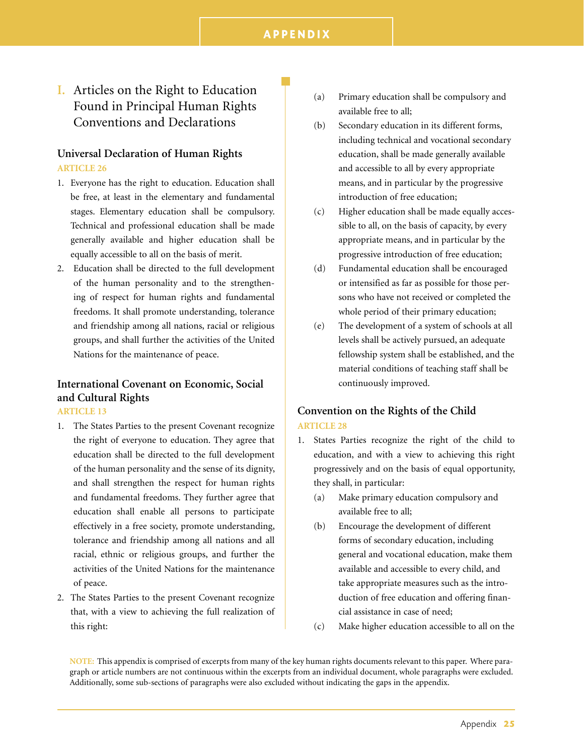#### **A P P E N D I X**

#### **I.** Articles on the Right to Education Found in Principal Human Rights Conventions and Declarations

#### **Universal Declaration of Human Rights ARTICLE 26**

- 1. Everyone has the right to education. Education shall be free, at least in the elementary and fundamental stages. Elementary education shall be compulsory. Technical and professional education shall be made generally available and higher education shall be equally accessible to all on the basis of merit.
- 2. Education shall be directed to the full development of the human personality and to the strengthening of respect for human rights and fundamental freedoms. It shall promote understanding, tolerance and friendship among all nations, racial or religious groups, and shall further the activities of the United Nations for the maintenance of peace.

#### **International Covenant on Economic, Social and Cultural Rights**

#### **ARTICLE 13**

- 1. The States Parties to the present Covenant recognize the right of everyone to education. They agree that education shall be directed to the full development of the human personality and the sense of its dignity, and shall strengthen the respect for human rights and fundamental freedoms. They further agree that education shall enable all persons to participate effectively in a free society, promote understanding, tolerance and friendship among all nations and all racial, ethnic or religious groups, and further the activities of the United Nations for the maintenance of peace.
- 2. The States Parties to the present Covenant recognize that, with a view to achieving the full realization of this right:
- (a) Primary education shall be compulsory and available free to all;
- (b) Secondary education in its different forms, including technical and vocational secondary education, shall be made generally available and accessible to all by every appropriate means, and in particular by the progressive introduction of free education;
- (c) Higher education shall be made equally accessible to all, on the basis of capacity, by every appropriate means, and in particular by the progressive introduction of free education;
- (d) Fundamental education shall be encouraged or intensified as far as possible for those persons who have not received or completed the whole period of their primary education;
- (e) The development of a system of schools at all levels shall be actively pursued, an adequate fellowship system shall be established, and the material conditions of teaching staff shall be continuously improved.

#### **Convention on the Rights of the Child ARTICLE 28**

- 1. States Parties recognize the right of the child to education, and with a view to achieving this right progressively and on the basis of equal opportunity, they shall, in particular:
	- (a) Make primary education compulsory and available free to all;
	- (b) Encourage the development of different forms of secondary education, including general and vocational education, make them available and accessible to every child, and take appropriate measures such as the introduction of free education and offering financial assistance in case of need;
	- (c) Make higher education accessible to all on the

**NOTE:** This appendix is comprised of excerpts from many of the key human rights documents relevant to this paper. Where paragraph or article numbers are not continuous within the excerpts from an individual document, whole paragraphs were excluded. Additionally, some sub-sections of paragraphs were also excluded without indicating the gaps in the appendix.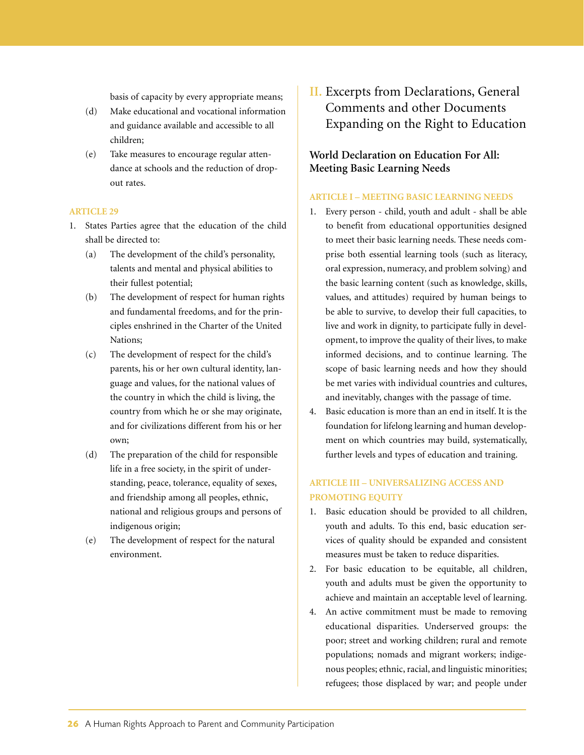basis of capacity by every appropriate means;

- (d) Make educational and vocational information and guidance available and accessible to all children;
- (e) Take measures to encourage regular attendance at schools and the reduction of dropout rates.

#### **ARTICLE 29**

- 1. States Parties agree that the education of the child shall be directed to:
	- (a) The development of the child's personality, talents and mental and physical abilities to their fullest potential;
	- (b) The development of respect for human rights and fundamental freedoms, and for the principles enshrined in the Charter of the United Nations;
	- (c) The development of respect for the child's parents, his or her own cultural identity, language and values, for the national values of the country in which the child is living, the country from which he or she may originate, and for civilizations different from his or her own;
	- (d) The preparation of the child for responsible life in a free society, in the spirit of understanding, peace, tolerance, equality of sexes, and friendship among all peoples, ethnic, national and religious groups and persons of indigenous origin;
	- (e) The development of respect for the natural environment.

**II.** Excerpts from Declarations, General Comments and other Documents Expanding on the Right to Education

#### **World Declaration on Education For All: Meeting Basic Learning Needs**

#### **ARTICLE I – MEETING BASIC LEARNING NEEDS**

- 1. Every person child, youth and adult shall be able to benefit from educational opportunities designed to meet their basic learning needs. These needs comprise both essential learning tools (such as literacy, oral expression, numeracy, and problem solving) and the basic learning content (such as knowledge, skills, values, and attitudes) required by human beings to be able to survive, to develop their full capacities, to live and work in dignity, to participate fully in development, to improve the quality of their lives, to make informed decisions, and to continue learning. The scope of basic learning needs and how they should be met varies with individual countries and cultures, and inevitably, changes with the passage of time.
- 4. Basic education is more than an end in itself. It is the foundation for lifelong learning and human development on which countries may build, systematically, further levels and types of education and training.

#### **ARTICLE III – UNIVERSALIZING ACCESS AND PROMOTING EQUITY**

- 1. Basic education should be provided to all children, youth and adults. To this end, basic education services of quality should be expanded and consistent measures must be taken to reduce disparities.
- 2. For basic education to be equitable, all children, youth and adults must be given the opportunity to achieve and maintain an acceptable level of learning.
- 4. An active commitment must be made to removing educational disparities. Underserved groups: the poor; street and working children; rural and remote populations; nomads and migrant workers; indigenous peoples; ethnic, racial, and linguistic minorities; refugees; those displaced by war; and people under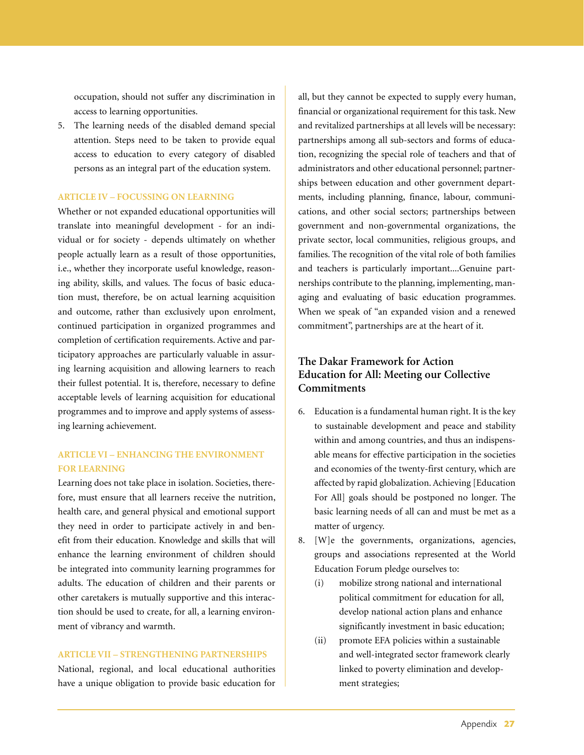occupation, should not suffer any discrimination in access to learning opportunities.

5. The learning needs of the disabled demand special attention. Steps need to be taken to provide equal access to education to every category of disabled persons as an integral part of the education system.

#### **ARTICLE IV – FOCUSSING ON LEARNING**

Whether or not expanded educational opportunities will translate into meaningful development - for an individual or for society - depends ultimately on whether people actually learn as a result of those opportunities, i.e., whether they incorporate useful knowledge, reasoning ability, skills, and values. The focus of basic education must, therefore, be on actual learning acquisition and outcome, rather than exclusively upon enrolment, continued participation in organized programmes and completion of certification requirements. Active and participatory approaches are particularly valuable in assuring learning acquisition and allowing learners to reach their fullest potential. It is, therefore, necessary to define acceptable levels of learning acquisition for educational programmes and to improve and apply systems of assessing learning achievement.

#### **ARTICLE VI – ENHANCING THE ENVIRONMENT FOR LEARNING**

Learning does not take place in isolation. Societies, therefore, must ensure that all learners receive the nutrition, health care, and general physical and emotional support they need in order to participate actively in and benefit from their education. Knowledge and skills that will enhance the learning environment of children should be integrated into community learning programmes for adults. The education of children and their parents or other caretakers is mutually supportive and this interaction should be used to create, for all, a learning environment of vibrancy and warmth.

#### **ARTICLE VII – STRENGTHENING PARTNERSHIPS**

National, regional, and local educational authorities have a unique obligation to provide basic education for

all, but they cannot be expected to supply every human, financial or organizational requirement for this task. New and revitalized partnerships at all levels will be necessary: partnerships among all sub-sectors and forms of education, recognizing the special role of teachers and that of administrators and other educational personnel; partnerships between education and other government departments, including planning, finance, labour, communications, and other social sectors; partnerships between government and non-governmental organizations, the private sector, local communities, religious groups, and families. The recognition of the vital role of both families and teachers is particularly important....Genuine partnerships contribute to the planning, implementing, managing and evaluating of basic education programmes. When we speak of "an expanded vision and a renewed commitment", partnerships are at the heart of it.

#### **The Dakar Framework for Action Education for All: Meeting our Collective Commitments**

- 6. Education is a fundamental human right. It is the key to sustainable development and peace and stability within and among countries, and thus an indispensable means for effective participation in the societies and economies of the twenty-first century, which are affected by rapid globalization. Achieving [Education For All] goals should be postponed no longer. The basic learning needs of all can and must be met as a matter of urgency.
- 8. [W]e the governments, organizations, agencies, groups and associations represented at the World Education Forum pledge ourselves to:
	- (i) mobilize strong national and international political commitment for education for all, develop national action plans and enhance significantly investment in basic education;
	- (ii) promote EFA policies within a sustainable and well-integrated sector framework clearly linked to poverty elimination and development strategies;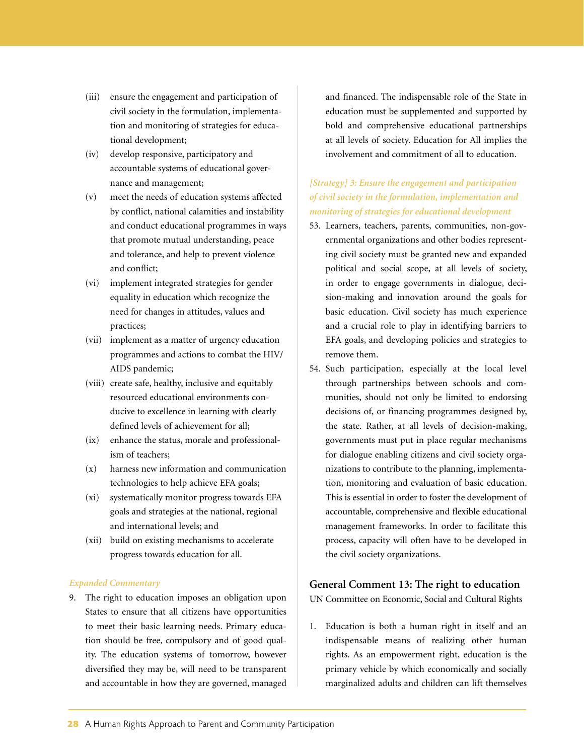- (iii) ensure the engagement and participation of civil society in the formulation, implementation and monitoring of strategies for educational development;
- (iv) develop responsive, participatory and accountable systems of educational governance and management;
- (v) meet the needs of education systems affected by conflict, national calamities and instability and conduct educational programmes in ways that promote mutual understanding, peace and tolerance, and help to prevent violence and conflict;
- (vi) implement integrated strategies for gender equality in education which recognize the need for changes in attitudes, values and practices;
- (vii) implement as a matter of urgency education programmes and actions to combat the HIV/ AIDS pandemic;
- (viii) create safe, healthy, inclusive and equitably resourced educational environments conducive to excellence in learning with clearly defined levels of achievement for all;
- (ix) enhance the status, morale and professionalism of teachers;
- (x) harness new information and communication technologies to help achieve EFA goals;
- (xi) systematically monitor progress towards EFA goals and strategies at the national, regional and international levels; and
- (xii) build on existing mechanisms to accelerate progress towards education for all.

#### *Expanded Commentary*

9. The right to education imposes an obligation upon States to ensure that all citizens have opportunities to meet their basic learning needs. Primary education should be free, compulsory and of good quality. The education systems of tomorrow, however diversified they may be, will need to be transparent and accountable in how they are governed, managed and financed. The indispensable role of the State in education must be supplemented and supported by bold and comprehensive educational partnerships at all levels of society. Education for All implies the involvement and commitment of all to education.

#### *[Strategy] 3: Ensure the engagement and participation of civil society in the formulation, implementation and monitoring of strategies for educational development*

- 53. Learners, teachers, parents, communities, non-governmental organizations and other bodies representing civil society must be granted new and expanded political and social scope, at all levels of society, in order to engage governments in dialogue, decision-making and innovation around the goals for basic education. Civil society has much experience and a crucial role to play in identifying barriers to EFA goals, and developing policies and strategies to remove them.
- 54. Such participation, especially at the local level through partnerships between schools and communities, should not only be limited to endorsing decisions of, or financing programmes designed by, the state. Rather, at all levels of decision-making, governments must put in place regular mechanisms for dialogue enabling citizens and civil society organizations to contribute to the planning, implementation, monitoring and evaluation of basic education. This is essential in order to foster the development of accountable, comprehensive and flexible educational management frameworks. In order to facilitate this process, capacity will often have to be developed in the civil society organizations.

#### **General Comment 13: The right to education**

UN Committee on Economic, Social and Cultural Rights

1. Education is both a human right in itself and an indispensable means of realizing other human rights. As an empowerment right, education is the primary vehicle by which economically and socially marginalized adults and children can lift themselves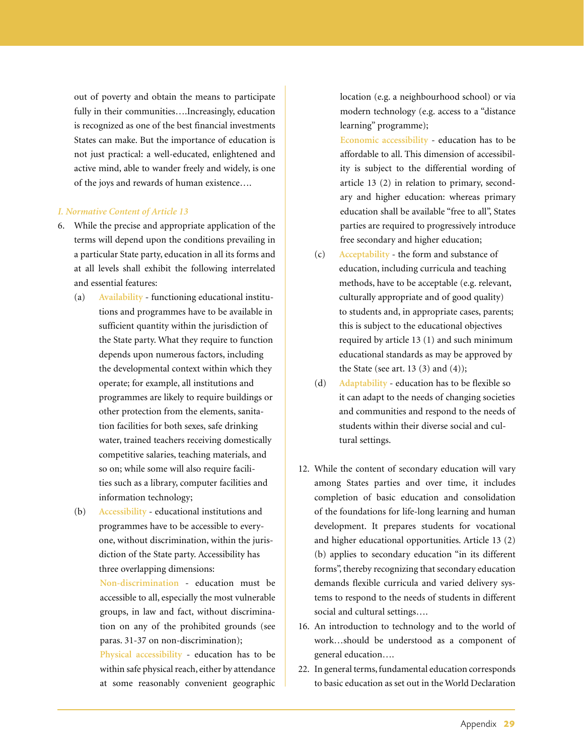out of poverty and obtain the means to participate fully in their communities….Increasingly, education is recognized as one of the best financial investments States can make. But the importance of education is not just practical: a well-educated, enlightened and active mind, able to wander freely and widely, is one of the joys and rewards of human existence….

#### *I. Normative Content of Article 13*

- 6. While the precise and appropriate application of the terms will depend upon the conditions prevailing in a particular State party, education in all its forms and at all levels shall exhibit the following interrelated and essential features:
	- (a) **Availability**  functioning educational institutions and programmes have to be available in sufficient quantity within the jurisdiction of the State party. What they require to function depends upon numerous factors, including the developmental context within which they operate; for example, all institutions and programmes are likely to require buildings or other protection from the elements, sanitation facilities for both sexes, safe drinking water, trained teachers receiving domestically competitive salaries, teaching materials, and so on; while some will also require facilities such as a library, computer facilities and information technology;
	- (b) **Accessibility**  educational institutions and programmes have to be accessible to everyone, without discrimination, within the jurisdiction of the State party. Accessibility has three overlapping dimensions:

**Non-discrimination** - education must be accessible to all, especially the most vulnerable groups, in law and fact, without discrimination on any of the prohibited grounds (see paras. 31-37 on non-discrimination);

**Physical accessibility** - education has to be within safe physical reach, either by attendance at some reasonably convenient geographic

location (e.g. a neighbourhood school) or via modern technology (e.g. access to a "distance learning" programme);

**Economic accessibility** - education has to be affordable to all. This dimension of accessibility is subject to the differential wording of article 13 (2) in relation to primary, secondary and higher education: whereas primary education shall be available "free to all", States parties are required to progressively introduce free secondary and higher education;

- (c) **Acceptability**  the form and substance of education, including curricula and teaching methods, have to be acceptable (e.g. relevant, culturally appropriate and of good quality) to students and, in appropriate cases, parents; this is subject to the educational objectives required by article 13 (1) and such minimum educational standards as may be approved by the State (see art. 13  $(3)$  and  $(4)$ );
- (d) **Adaptability**  education has to be flexible so it can adapt to the needs of changing societies and communities and respond to the needs of students within their diverse social and cultural settings.
- 12. While the content of secondary education will vary among States parties and over time, it includes completion of basic education and consolidation of the foundations for life-long learning and human development. It prepares students for vocational and higher educational opportunities. Article 13 (2) (b) applies to secondary education "in its different forms", thereby recognizing that secondary education demands flexible curricula and varied delivery systems to respond to the needs of students in different social and cultural settings….
- 16. An introduction to technology and to the world of work…should be understood as a component of general education….
- 22. In general terms, fundamental education corresponds to basic education as set out in the World Declaration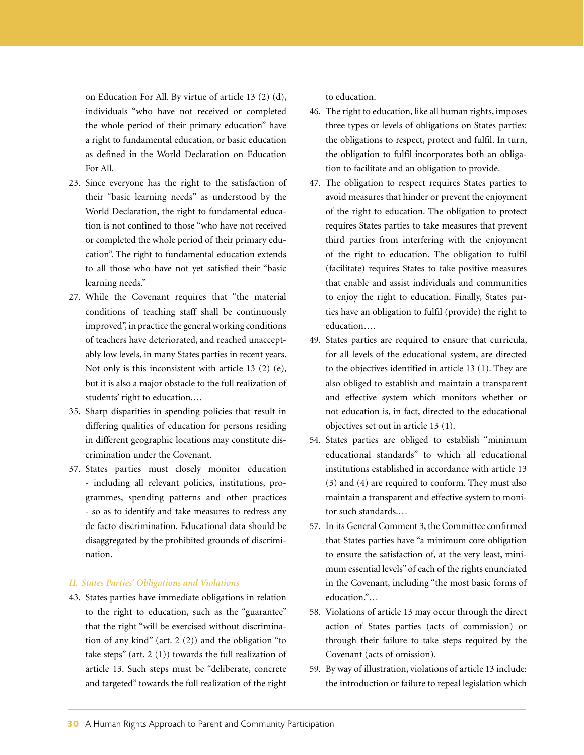on Education For All. By virtue of article 13 (2) (d), individuals "who have not received or completed the whole period of their primary education" have a right to fundamental education, or basic education as defined in the World Declaration on Education For All.

- 23. Since everyone has the right to the satisfaction of their "basic learning needs" as understood by the World Declaration, the right to fundamental education is not confined to those "who have not received or completed the whole period of their primary education". The right to fundamental education extends to all those who have not yet satisfied their "basic learning needs."
- 27. While the Covenant requires that "the material conditions of teaching staff shall be continuously improved", in practice the general working conditions of teachers have deteriorated, and reached unacceptably low levels, in many States parties in recent years. Not only is this inconsistent with article 13 (2) (e), but it is also a major obstacle to the full realization of students' right to education.…
- 35. Sharp disparities in spending policies that result in differing qualities of education for persons residing in different geographic locations may constitute discrimination under the Covenant.
- 37. States parties must closely monitor education - including all relevant policies, institutions, programmes, spending patterns and other practices - so as to identify and take measures to redress any de facto discrimination. Educational data should be disaggregated by the prohibited grounds of discrimination.

#### *II.**States Parties' Obligations and Violations*

43. States parties have immediate obligations in relation to the right to education, such as the "guarantee" that the right "will be exercised without discrimination of any kind" (art. 2 (2)) and the obligation "to take steps" (art. 2 (1)) towards the full realization of article 13. Such steps must be "deliberate, concrete and targeted" towards the full realization of the right to education.

- 46. The right to education, like all human rights, imposes three types or levels of obligations on States parties: the obligations to respect, protect and fulfil. In turn, the obligation to fulfil incorporates both an obligation to facilitate and an obligation to provide.
- 47. The obligation to respect requires States parties to avoid measures that hinder or prevent the enjoyment of the right to education. The obligation to protect requires States parties to take measures that prevent third parties from interfering with the enjoyment of the right to education. The obligation to fulfil (facilitate) requires States to take positive measures that enable and assist individuals and communities to enjoy the right to education. Finally, States parties have an obligation to fulfil (provide) the right to education….
- 49. States parties are required to ensure that curricula, for all levels of the educational system, are directed to the objectives identified in article 13 (1). They are also obliged to establish and maintain a transparent and effective system which monitors whether or not education is, in fact, directed to the educational objectives set out in article 13 (1).
- 54. States parties are obliged to establish "minimum educational standards" to which all educational institutions established in accordance with article 13 (3) and (4) are required to conform. They must also maintain a transparent and effective system to monitor such standards.…
- 57. In its General Comment 3, the Committee confirmed that States parties have "a minimum core obligation to ensure the satisfaction of, at the very least, minimum essential levels" of each of the rights enunciated in the Covenant, including "the most basic forms of education."…
- 58. Violations of article 13 may occur through the direct action of States parties (acts of commission) or through their failure to take steps required by the Covenant (acts of omission).
- 59. By way of illustration, violations of article 13 include: the introduction or failure to repeal legislation which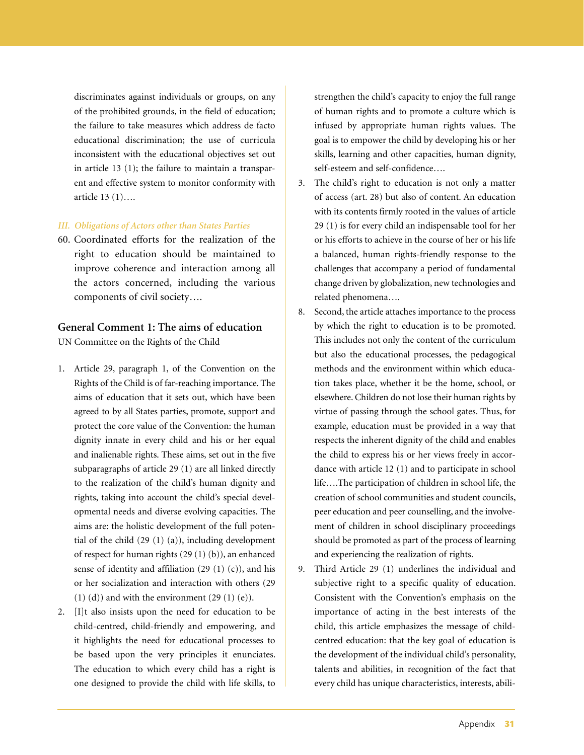discriminates against individuals or groups, on any of the prohibited grounds, in the field of education; the failure to take measures which address de facto educational discrimination; the use of curricula inconsistent with the educational objectives set out in article 13 (1); the failure to maintain a transparent and effective system to monitor conformity with article 13 (1)….

#### *III. Obligations of Actors other than States Parties*

60. Coordinated efforts for the realization of the right to education should be maintained to improve coherence and interaction among all the actors concerned, including the various components of civil society….

#### **General Comment 1: The aims of education**

UN Committee on the Rights of the Child

- 1. Article 29, paragraph 1, of the Convention on the Rights of the Child is of far-reaching importance. The aims of education that it sets out, which have been agreed to by all States parties, promote, support and protect the core value of the Convention: the human dignity innate in every child and his or her equal and inalienable rights. These aims, set out in the five subparagraphs of article 29 (1) are all linked directly to the realization of the child's human dignity and rights, taking into account the child's special developmental needs and diverse evolving capacities. The aims are: the holistic development of the full potential of the child (29 (1) (a)), including development of respect for human rights (29 (1) (b)), an enhanced sense of identity and affiliation  $(29 (1) (c))$ , and his or her socialization and interaction with others (29  $(1)$   $(d)$  and with the environment  $(29 (1) (e))$ .
- 2. [I]t also insists upon the need for education to be child-centred, child-friendly and empowering, and it highlights the need for educational processes to be based upon the very principles it enunciates. The education to which every child has a right is one designed to provide the child with life skills, to

strengthen the child's capacity to enjoy the full range of human rights and to promote a culture which is infused by appropriate human rights values. The goal is to empower the child by developing his or her skills, learning and other capacities, human dignity, self-esteem and self-confidence….

- 3. The child's right to education is not only a matter of access (art. 28) but also of content. An education with its contents firmly rooted in the values of article 29 (1) is for every child an indispensable tool for her or his efforts to achieve in the course of her or his life a balanced, human rights-friendly response to the challenges that accompany a period of fundamental change driven by globalization, new technologies and related phenomena….
- 8. Second, the article attaches importance to the process by which the right to education is to be promoted. This includes not only the content of the curriculum but also the educational processes, the pedagogical methods and the environment within which education takes place, whether it be the home, school, or elsewhere. Children do not lose their human rights by virtue of passing through the school gates. Thus, for example, education must be provided in a way that respects the inherent dignity of the child and enables the child to express his or her views freely in accordance with article 12 (1) and to participate in school life….The participation of children in school life, the creation of school communities and student councils, peer education and peer counselling, and the involvement of children in school disciplinary proceedings should be promoted as part of the process of learning and experiencing the realization of rights.
- 9. Third Article 29 (1) underlines the individual and subjective right to a specific quality of education. Consistent with the Convention's emphasis on the importance of acting in the best interests of the child, this article emphasizes the message of childcentred education: that the key goal of education is the development of the individual child's personality, talents and abilities, in recognition of the fact that every child has unique characteristics, interests, abili-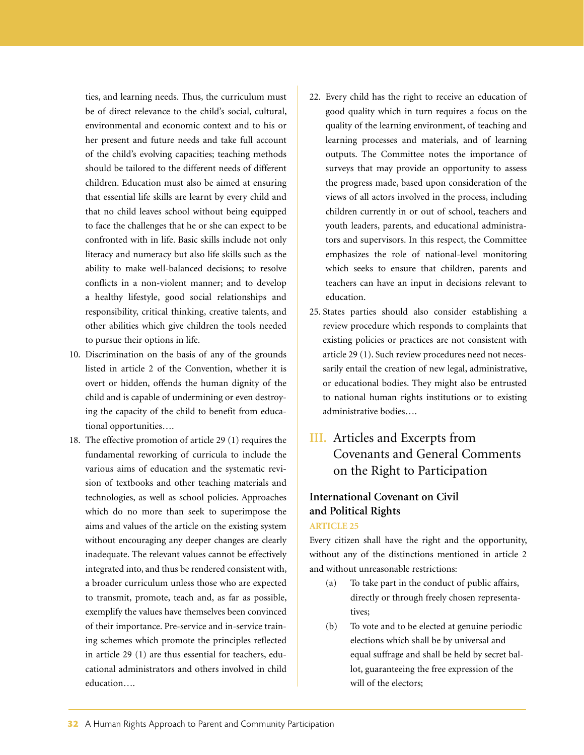ties, and learning needs. Thus, the curriculum must be of direct relevance to the child's social, cultural, environmental and economic context and to his or her present and future needs and take full account of the child's evolving capacities; teaching methods should be tailored to the different needs of different children. Education must also be aimed at ensuring that essential life skills are learnt by every child and that no child leaves school without being equipped to face the challenges that he or she can expect to be confronted with in life. Basic skills include not only literacy and numeracy but also life skills such as the ability to make well-balanced decisions; to resolve conflicts in a non-violent manner; and to develop a healthy lifestyle, good social relationships and responsibility, critical thinking, creative talents, and other abilities which give children the tools needed to pursue their options in life.

- 10. Discrimination on the basis of any of the grounds listed in article 2 of the Convention, whether it is overt or hidden, offends the human dignity of the child and is capable of undermining or even destroying the capacity of the child to benefit from educational opportunities….
- 18. The effective promotion of article 29 (1) requires the fundamental reworking of curricula to include the various aims of education and the systematic revision of textbooks and other teaching materials and technologies, as well as school policies. Approaches which do no more than seek to superimpose the aims and values of the article on the existing system without encouraging any deeper changes are clearly inadequate. The relevant values cannot be effectively integrated into, and thus be rendered consistent with, a broader curriculum unless those who are expected to transmit, promote, teach and, as far as possible, exemplify the values have themselves been convinced of their importance. Pre-service and in-service training schemes which promote the principles reflected in article 29 (1) are thus essential for teachers, educational administrators and others involved in child education….
- 22. Every child has the right to receive an education of good quality which in turn requires a focus on the quality of the learning environment, of teaching and learning processes and materials, and of learning outputs. The Committee notes the importance of surveys that may provide an opportunity to assess the progress made, based upon consideration of the views of all actors involved in the process, including children currently in or out of school, teachers and youth leaders, parents, and educational administrators and supervisors. In this respect, the Committee emphasizes the role of national-level monitoring which seeks to ensure that children, parents and teachers can have an input in decisions relevant to education.
- 25. States parties should also consider establishing a review procedure which responds to complaints that existing policies or practices are not consistent with article 29 (1). Such review procedures need not necessarily entail the creation of new legal, administrative, or educational bodies. They might also be entrusted to national human rights institutions or to existing administrative bodies….

### **III.** Articles and Excerpts from Covenants and General Comments on the Right to Participation

#### **International Covenant on Civil and Political Rights ARTICLE 25**

Every citizen shall have the right and the opportunity, without any of the distinctions mentioned in article 2 and without unreasonable restrictions:

- (a) To take part in the conduct of public affairs, directly or through freely chosen representatives;
- (b) To vote and to be elected at genuine periodic elections which shall be by universal and equal suffrage and shall be held by secret ballot, guaranteeing the free expression of the will of the electors;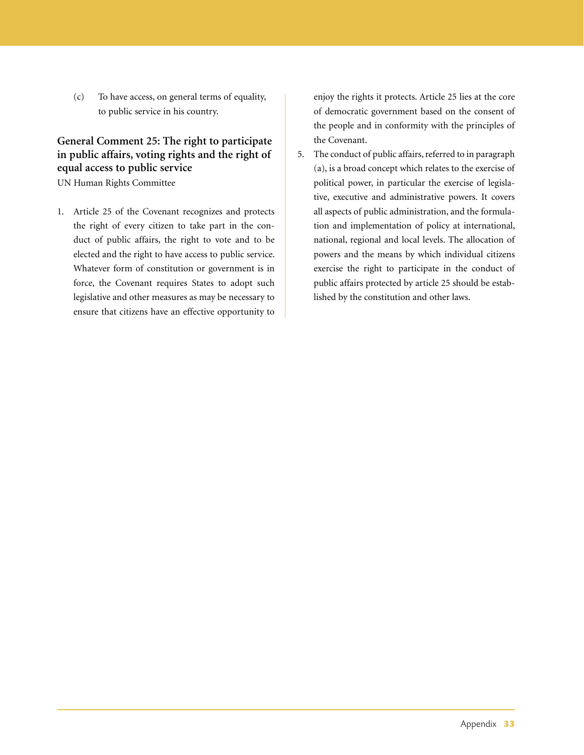(c) To have access, on general terms of equality, to public service in his country.

#### **General Comment 25: The right to participate in public affairs, voting rights and the right of equal access to public service**

UN Human Rights Committee

1. Article 25 of the Covenant recognizes and protects the right of every citizen to take part in the conduct of public affairs, the right to vote and to be elected and the right to have access to public service. Whatever form of constitution or government is in force, the Covenant requires States to adopt such legislative and other measures as may be necessary to ensure that citizens have an effective opportunity to

enjoy the rights it protects. Article 25 lies at the core of democratic government based on the consent of the people and in conformity with the principles of the Covenant.

5. The conduct of public affairs, referred to in paragraph (a), is a broad concept which relates to the exercise of political power, in particular the exercise of legislative, executive and administrative powers. It covers all aspects of public administration, and the formulation and implementation of policy at international, national, regional and local levels. The allocation of powers and the means by which individual citizens exercise the right to participate in the conduct of public affairs protected by article 25 should be established by the constitution and other laws.